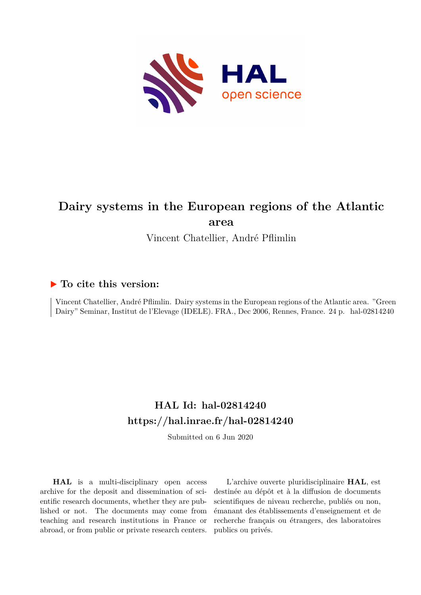

# **Dairy systems in the European regions of the Atlantic area**

Vincent Chatellier, André Pflimlin

## **To cite this version:**

Vincent Chatellier, André Pflimlin. Dairy systems in the European regions of the Atlantic area. "Green Dairy" Seminar, Institut de l'Elevage (IDELE). FRA., Dec 2006, Rennes, France. 24 p. hal-02814240

# **HAL Id: hal-02814240 <https://hal.inrae.fr/hal-02814240>**

Submitted on 6 Jun 2020

**HAL** is a multi-disciplinary open access archive for the deposit and dissemination of scientific research documents, whether they are published or not. The documents may come from teaching and research institutions in France or abroad, or from public or private research centers.

L'archive ouverte pluridisciplinaire **HAL**, est destinée au dépôt et à la diffusion de documents scientifiques de niveau recherche, publiés ou non, émanant des établissements d'enseignement et de recherche français ou étrangers, des laboratoires publics ou privés.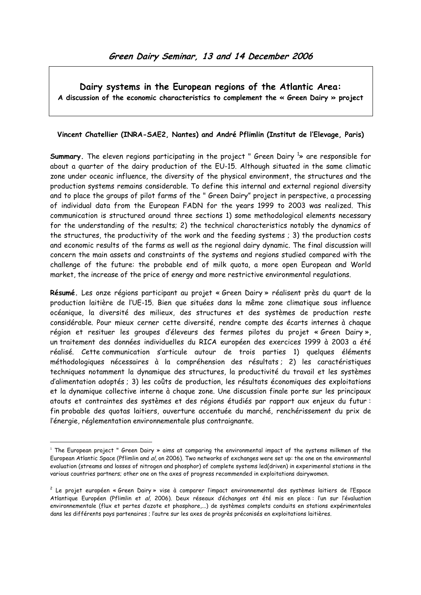Dairy systems in the European regions of the Atlantic Area: A discussion of the economic characteristics to complement the « Green Dairy » project

#### Vincent Chatellier (INRA-SAE2, Nantes) and André Pflimlin (Institut de l'Elevage, Paris)

**Summary**. The eleven regions participating in the project " Green Dairy  $\frac{1}{2}$  are responsible for about a quarter of the dairy production of the EU-15. Although situated in the same climatic zone under oceanic influence, the diversity of the physical environment, the structures and the production systems remains considerable. To define this internal and external regional diversity and to place the groups of pilot farms of the " Green Dairy" project in perspective, a processing of individual data from the European FADN for the years 1999 to 2003 was realized. This communication is structured around three sections 1) some methodological elements necessary for the understanding of the results; 2) the technical characteristics notably the dynamics of the structures, the productivity of the work and the feeding systems ; 3) the production costs and economic results of the farms as well as the regional dairy dynamic. The final discussion will concern the main assets and constraints of the systems and regions studied compared with the challenge of the future: the probable end of milk quota, a more open European and World market, the increase of the price of energy and more restrictive environmental regulations.

Résumé. Les onze régions participant au projet « Green Dairy » réalisent près du quart de la production laitière de l'UE-15. Bien que situées dans la même zone climatique sous influence océanique, la diversité des milieux, des structures et des systèmes de production reste considérable. Pour mieux cerner cette diversité, rendre compte des écarts internes à chaque région et resituer les groupes d'éleveurs des fermes pilotes du projet « Green Dairy », un traitement des données individuelles du RICA européen des exercices 1999 à 2003 a été réalisé. Cette communication s'articule autour de trois parties 1) quelques éléments méthodologiques nécessaires à la compréhension des résultats ; 2) les caractéristiques techniques notamment la dynamique des structures, la productivité du travail et les systèmes d'alimentation adoptés ; 3) les coûts de production, les résultats économiques des exploitations et la dynamique collective interne à chaque zone. Une discussion finale porte sur les principaux atouts et contraintes des systèmes et des régions étudiés par rapport aux enjeux du futur : fin probable des quotas laitiers, ouverture accentuée du marché, renchérissement du prix de l'énergie, réglementation environnementale plus contraignante.

 $\overline{a}$ 

<sup>&</sup>lt;sup>1</sup> The European project " Green Dairy » aims at comparing the environmental impact of the systems milkmen of the European Atlantic Space (Pflimlin and al, on 2006). Two networks of exchanges were set up: the one on the environmental evaluation (streams and losses of nitrogen and phosphor) of complete systems led(driven) in experimental stations in the various countries partners; other one on the axes of progress recommended in exploitations dairywomen.

<sup>2</sup> Le projet européen « Green Dairy » vise à comparer l'impact environnemental des systèmes laitiers de l'Espace Atlantique Européen (Pflimlin et al, 2006). Deux réseaux d'échanges ont été mis en place : l'un sur l'évaluation environnementale (flux et pertes d'azote et phosphore,...) de systèmes complets conduits en stations expérimentales dans les différents pays partenaires ; l'autre sur les axes de progrès préconisés en exploitations laitières.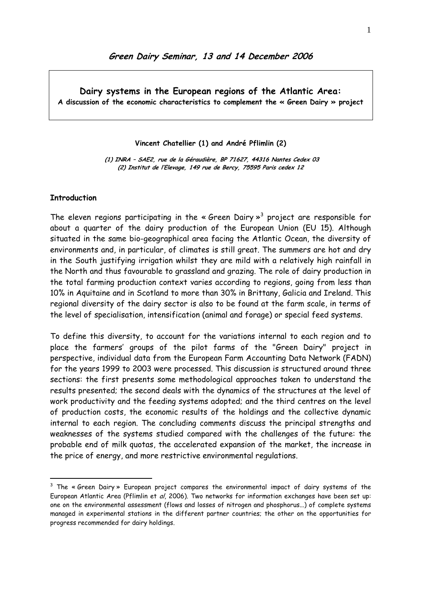Dairy systems in the European regions of the Atlantic Area: A discussion of the economic characteristics to complement the « Green Dairy » project

Vincent Chatellier (1) and André Pflimlin (2)

 (1) INRA – SAE2, rue de la Géraudière, BP 71627, 44316 Nantes Cedex 03 (2) Institut de l'Elevage, 149 rue de Bercy, 75595 Paris cedex 12

#### **Introduction**

 $\overline{a}$ 

The eleven regions participating in the « Green Dairy  $\mathbb{R}^3$  project are responsible for about a quarter of the dairy production of the European Union (EU 15). Although situated in the same bio-geographical area facing the Atlantic Ocean, the diversity of environments and, in particular, of climates is still great. The summers are hot and dry in the South justifying irrigation whilst they are mild with a relatively high rainfall in the North and thus favourable to grassland and grazing. The role of dairy production in the total farming production context varies according to regions, going from less than 10% in Aquitaine and in Scotland to more than 30% in Brittany, Galicia and Ireland. This regional diversity of the dairy sector is also to be found at the farm scale, in terms of the level of specialisation, intensification (animal and forage) or special feed systems.

To define this diversity, to account for the variations internal to each region and to place the farmers' groups of the pilot farms of the "Green Dairy" project in perspective, individual data from the European Farm Accounting Data Network (FADN) for the years 1999 to 2003 were processed. This discussion is structured around three sections: the first presents some methodological approaches taken to understand the results presented; the second deals with the dynamics of the structures at the level of work productivity and the feeding systems adopted; and the third centres on the level of production costs, the economic results of the holdings and the collective dynamic internal to each region. The concluding comments discuss the principal strengths and weaknesses of the systems studied compared with the challenges of the future: the probable end of milk quotas, the accelerated expansion of the market, the increase in the price of energy, and more restrictive environmental regulations.

 $^3$  The « Green Dairy » European project compares the environmental impact of dairy systems of the European Atlantic Area (Pflimlin et al, 2006). Two networks for information exchanges have been set up: one on the environmental assessment (flows and losses of nitrogen and phosphorus...) of complete systems managed in experimental stations in the different partner countries; the other on the opportunities for progress recommended for dairy holdings.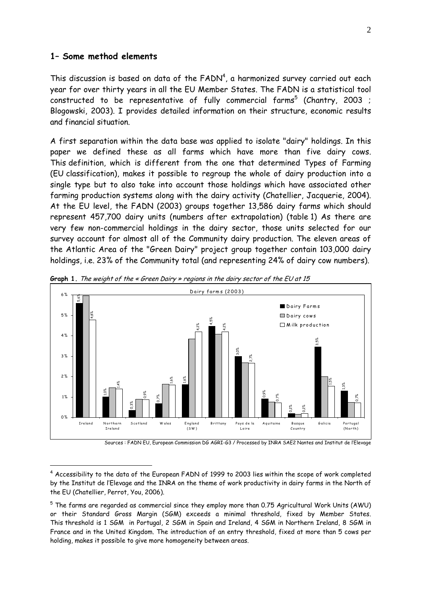#### 1– Some method elements

 $\overline{a}$ 

This discussion is based on data of the  ${\sf FADN}^4$ , a harmonized survey carried out each year for over thirty years in all the EU Member States. The FADN is a statistical tool constructed to be representative of fully commercial farms $^5$  (Chantry, 2003 ; Blogowski, 2003). I provides detailed information on their structure, economic results and financial situation.

A first separation within the data base was applied to isolate "dairy" holdings. In this paper we defined these as all farms which have more than five dairy cows. This definition, which is different from the one that determined Types of Farming (EU classification), makes it possible to regroup the whole of dairy production into a single type but to also take into account those holdings which have associated other farming production systems along with the dairy activity (Chatellier, Jacquerie, 2004). At the EU level, the FADN (2003) groups together 13,586 dairy farms which should represent 457,700 dairy units (numbers after extrapolation) (table 1) As there are very few non-commercial holdings in the dairy sector, those units selected for our survey account for almost all of the Community dairy production. The eleven areas of the Atlantic Area of the "Green Dairy" project group together contain 103,000 dairy holdings, i.e. 23% of the Community total (and representing 24% of dairy cow numbers).



Graph 1. The weight of the « Green Dairy » regions in the dairy sector of the EU at 15

Sources : FADN EU, European Commission DG AGRI-G3 / Processed by INRA SAE2 Nantes and Institut de l'Elevage

 $^4$  Accessibility to the data of the European FADN of 1999 to 2003 lies within the scope of work completed by the Institut de l'Elevage and the INRA on the theme of work productivity in dairy farms in the North of the EU (Chatellier, Perrot, You, 2006).

 $^{\rm 5}$  The farms are regarded as commercial since they employ more than 0.75 Agricultural Work Units (AWU) or their Standard Gross Margin (SGM) exceeds a minimal threshold, fixed by Member States. This threshold is 1 SGM in Portugal, 2 SGM in Spain and Ireland, 4 SGM in Northern Ireland, 8 SGM in France and in the United Kingdom. The introduction of an entry threshold, fixed at more than 5 cows per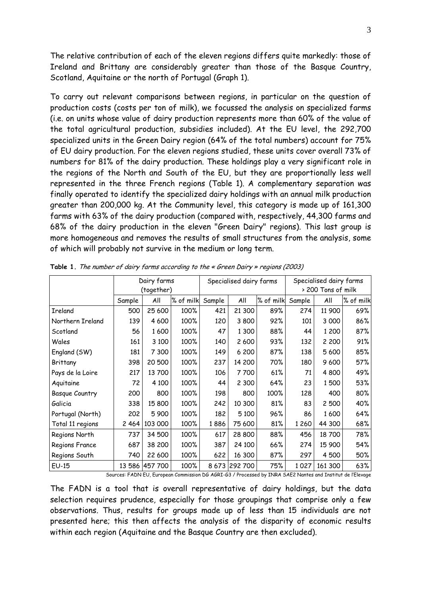The relative contribution of each of the eleven regions differs quite markedly: those of Ireland and Brittany are considerably greater than those of the Basque Country, Scotland, Aquitaine or the north of Portugal (Graph 1).

To carry out relevant comparisons between regions, in particular on the question of production costs (costs per ton of milk), we focussed the analysis on specialized farms (i.e. on units whose value of dairy production represents more than 60% of the value of the total agricultural production, subsidies included). At the EU level, the 292,700 specialized units in the Green Dairy region (64% of the total numbers) account for 75% of EU dairy production. For the eleven regions studied, these units cover overall 73% of numbers for 81% of the dairy production. These holdings play a very significant role in the regions of the North and South of the EU, but they are proportionally less well represented in the three French regions (Table 1). A complementary separation was finally operated to identify the specialized dairy holdings with an annual milk production greater than 200,000 kg. At the Community level, this category is made up of 161,300 farms with 63% of the dairy production (compared with, respectively, 44,300 farms and 68% of the dairy production in the eleven "Green Dairy" regions). This last group is more homogeneous and removes the results of small structures from the analysis, some of which will probably not survive in the medium or long term.

|                       |        | Dairy farms    |           |        | Specialised dairy farms |           | Specialised dairy farms |                    |           |  |  |
|-----------------------|--------|----------------|-----------|--------|-------------------------|-----------|-------------------------|--------------------|-----------|--|--|
|                       |        | (together)     |           |        |                         |           |                         | > 200 Tons of milk |           |  |  |
|                       | Sample | All            | % of milk | Sample | All                     | % of milk | Sample                  | All                | % of milk |  |  |
| Ireland               | 500    | 25 600         | 100%      | 421    | 21 300                  | 89%       | 274                     | 11 900             | 69%       |  |  |
| Northern Ireland      | 139    | 4 600          | 100%      | 120    | 3 800                   | 92%       | 101                     | 3 0 0 0            | 86%       |  |  |
| Scotland              | 56     | 1600           | 100%      | 47     | 1 3 0 0                 | 88%       | 44                      | 1 200              | 87%       |  |  |
| Wales                 | 161    | 3 1 0 0        | 100%      | 140    | 2 600                   | 93%       | 132                     | 2 2 0 0            | 91%       |  |  |
| England (SW)          | 181    | 7 300          | 100%      | 149    | 6 200                   | 87%       | 138                     | 5 600              | 85%       |  |  |
| Brittany              | 398    | 20 500         | 100%      | 237    | 14 200                  | 70%       | 180                     | 9600               | 57%       |  |  |
| Pays de la Loire      | 217    | 13700          | 100%      | 106    | 7700                    | 61%       | 71                      | 4 800              | 49%       |  |  |
| Aquitaine             | 72     | 4 100          | 100%      | 44     | 2 3 0 0                 | 64%       | 23                      | 1500               | 53%       |  |  |
| <b>Basque Country</b> | 200    | 800            | 100%      | 198    | 800                     | 100%      | 128                     | 400                | 80%       |  |  |
| Galicia               | 338    | 15 800         | 100%      | 242    | 10 300                  | 81%       | 83                      | 2 500              | 40%       |  |  |
| Portugal (North)      | 202    | 5 900          | 100%      | 182    | 5 1 0 0                 | 96%       | 86                      | 1600               | 64%       |  |  |
| Total 11 regions      | 2464   | 103 000        | 100%      | 1886   | 75 600                  | 81%       | 1260                    | 44 300             | 68%       |  |  |
| Regions North         | 737    | 34 500         | 100%      | 617    | 28 800                  | 88%       | 456                     | 18700              | 78%       |  |  |
| Regions France        | 687    | 38 200         | 100%      | 387    | 24 100                  | 66%       | 274                     | 15 900             | 54%       |  |  |
| Regions South         | 740    | 22 600         | 100%      | 622    | 16 300                  | 87%       | 297                     | 4 500              | 50%       |  |  |
| $EU-15$               |        | 13 586 457 700 | 100%      |        | 8 673 292 700           | 75%       | 1027                    | 161 300            | 63%       |  |  |

Table 1. The number of dairy farms according to the « Green Dairy » regions (2003)

Sources: FADN EU, European Commission DG AGRI-G3 / Processed by INRA SAE2 Nantes and Institut de l'Elevage

The FADN is a tool that is overall representative of dairy holdings, but the data selection requires prudence, especially for those groupings that comprise only a few observations. Thus, results for groups made up of less than 15 individuals are not presented here; this then affects the analysis of the disparity of economic results within each region (Aquitaine and the Basque Country are then excluded).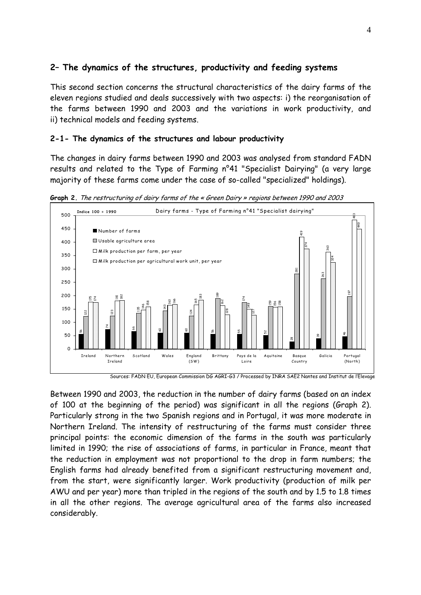### 2– The dynamics of the structures, productivity and feeding systems

This second section concerns the structural characteristics of the dairy farms of the eleven regions studied and deals successively with two aspects: i) the reorganisation of the farms between 1990 and 2003 and the variations in work productivity, and ii) technical models and feeding systems.

### 2-1- The dynamics of the structures and labour productivity

The changes in dairy farms between 1990 and 2003 was analysed from standard FADN results and related to the Type of Farming n°41 "Specialist Dairying" (a very large majority of these farms come under the case of so-called "specialized" holdings).

Graph 2. The restructuring of dairy farms of the « Green Dairy » regions between 1990 and 2003



Sources: FADN EU, European Commission DG AGRI-G3 / Processed by INRA SAE2 Nantes and Institut de l'Elevage

Between 1990 and 2003, the reduction in the number of dairy farms (based on an index of 100 at the beginning of the period) was significant in all the regions (Graph 2). Particularly strong in the two Spanish regions and in Portugal, it was more moderate in Northern Ireland. The intensity of restructuring of the farms must consider three principal points: the economic dimension of the farms in the south was particularly limited in 1990; the rise of associations of farms, in particular in France, meant that the reduction in employment was not proportional to the drop in farm numbers; the English farms had already benefited from a significant restructuring movement and, from the start, were significantly larger. Work productivity (production of milk per AWU and per year) more than tripled in the regions of the south and by 1.5 to 1.8 times in all the other regions. The average agricultural area of the farms also increased  $\begin{array}{c|c} \mathfrak{s}_0 & \bullet & \bullet & \bullet \\ \hline \mathfrak{g}_0 & \bullet & \bullet & \bullet \\ \hline \end{array}$ <br>Between 1990<br>of 100 at the Particularly s<br>Northern Ire<br>principal poin<br>limited in 199<br>the reduction<br>English farms<br>from the sta<br>AWU and per<br>in all the oth<br>considerab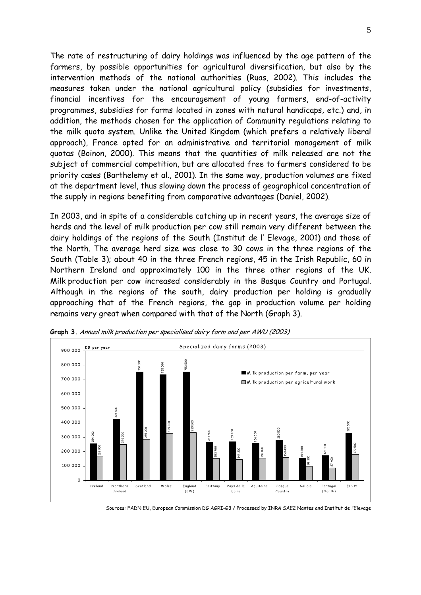The rate of restructuring of dairy holdings was influenced by the age pattern of the farmers, by possible opportunities for agricultural diversification, but also by the intervention methods of the national authorities (Ruas, 2002). This includes the measures taken under the national agricultural policy (subsidies for investments, financial incentives for the encouragement of young farmers, end-of-activity programmes, subsidies for farms located in zones with natural handicaps, etc.) and, in addition, the methods chosen for the application of Community regulations relating to the milk quota system. Unlike the United Kingdom (which prefers a relatively liberal approach), France opted for an administrative and territorial management of milk quotas (Boinon, 2000). This means that the quantities of milk released are not the subject of commercial competition, but are allocated free to farmers considered to be priority cases (Barthelemy et al., 2001). In the same way, production volumes are fixed at the department level, thus slowing down the process of geographical concentration of the supply in regions benefiting from comparative advantages (Daniel, 2002).

In 2003, and in spite of a considerable catching up in recent years, the average size of herds and the level of milk production per cow still remain very different between the dairy holdings of the regions of the South (Institut de l' Elevage, 2001) and those of the North. The average herd size was close to 30 cows in the three regions of the South (Table 3); about 40 in the three French regions, 45 in the Irish Republic, 60 in Northern Ireland and approximately 100 in the three other regions of the UK. Milk production per cow increased considerably in the Basque Country and Portugal. Although in the regions of the south, dairy production per holding is gradually approaching that of the French regions, the gap in production volume per holding remains very great when compared with that of the North (Graph 3).



Graph 3. Annual milk production per specialised dairy farm and per AWU (2003)

Sources: FADN EU, European Commission DG AGRI-G3 / Processed by INRA SAE2 Nantes and Institut de l'Elevage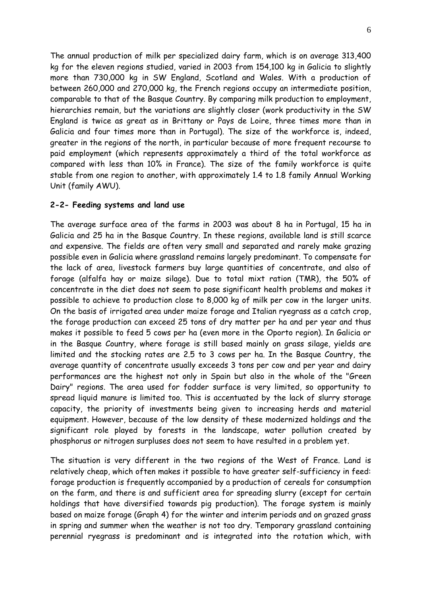The annual production of milk per specialized dairy farm, which is on average 313,400 kg for the eleven regions studied, varied in 2003 from 154,100 kg in Galicia to slightly more than 730,000 kg in SW England, Scotland and Wales. With a production of between 260,000 and 270,000 kg, the French regions occupy an intermediate position, comparable to that of the Basque Country. By comparing milk production to employment, hierarchies remain, but the variations are slightly closer (work productivity in the SW England is twice as great as in Brittany or Pays de Loire, three times more than in Galicia and four times more than in Portugal). The size of the workforce is, indeed, greater in the regions of the north, in particular because of more frequent recourse to paid employment (which represents approximately a third of the total workforce as compared with less than 10% in France). The size of the family workforce is quite stable from one region to another, with approximately 1.4 to 1.8 family Annual Working Unit (family AWU).

#### 2-2- Feeding systems and land use

The average surface area of the farms in 2003 was about 8 ha in Portugal, 15 ha in Galicia and 25 ha in the Basque Country. In these regions, available land is still scarce and expensive. The fields are often very small and separated and rarely make grazing possible even in Galicia where grassland remains largely predominant. To compensate for the lack of area, livestock farmers buy large quantities of concentrate, and also of forage (alfalfa hay or maize silage). Due to total mixt ration (TMR), the 50% of concentrate in the diet does not seem to pose significant health problems and makes it possible to achieve to production close to 8,000 kg of milk per cow in the larger units. On the basis of irrigated area under maize forage and Italian ryegrass as a catch crop, the forage production can exceed 25 tons of dry matter per ha and per year and thus makes it possible to feed 5 cows per ha (even more in the Oporto region). In Galicia or in the Basque Country, where forage is still based mainly on grass silage, yields are limited and the stocking rates are 2.5 to 3 cows per ha. In the Basque Country, the average quantity of concentrate usually exceeds 3 tons per cow and per year and dairy performances are the highest not only in Spain but also in the whole of the "Green Dairy" regions. The area used for fodder surface is very limited, so opportunity to spread liquid manure is limited too. This is accentuated by the lack of slurry storage capacity, the priority of investments being given to increasing herds and material equipment. However, because of the low density of these modernized holdings and the significant role played by forests in the landscape, water pollution created by phosphorus or nitrogen surpluses does not seem to have resulted in a problem yet.

The situation is very different in the two regions of the West of France. Land is relatively cheap, which often makes it possible to have greater self-sufficiency in feed: forage production is frequently accompanied by a production of cereals for consumption on the farm, and there is and sufficient area for spreading slurry (except for certain holdings that have diversified towards pig production). The forage system is mainly based on maize forage (Graph 4) for the winter and interim periods and on grazed grass in spring and summer when the weather is not too dry. Temporary grassland containing perennial ryegrass is predominant and is integrated into the rotation which, with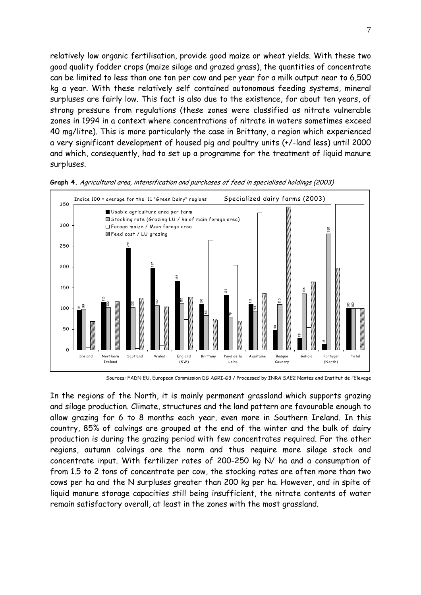relatively low organic fertilisation, provide good maize or wheat yields. With these two good quality fodder crops (maize silage and grazed grass), the quantities of concentrate can be limited to less than one ton per cow and per year for a milk output near to 6,500 kg a year. With these relatively self contained autonomous feeding systems, mineral surpluses are fairly low. This fact is also due to the existence, for about ten years, of strong pressure from regulations (these zones were classified as nitrate vulnerable zones in 1994 in a context where concentrations of nitrate in waters sometimes exceed 40 mg/litre). This is more particularly the case in Brittany, a region which experienced a very significant development of housed pig and poultry units (+/-land less) until 2000 and which, consequently, had to set up a programme for the treatment of liquid manure surpluses.



Graph 4. Agricultural area, intensification and purchases of feed in specialised holdings (2003)

Sources: FADN EU, European Commission DG AGRI-G3 / Processed by INRA SAE2 Nantes and Institut de l'Elevage

In the regions of the North, it is mainly permanent grassland which supports grazing and silage production. Climate, structures and the land pattern are favourable enough to allow grazing for 6 to 8 months each year, even more in Southern Ireland. In this country, 85% of calvings are grouped at the end of the winter and the bulk of dairy production is during the grazing period with few concentrates required. For the other regions, autumn calvings are the norm and thus require more silage stock and concentrate input. With fertilizer rates of 200-250 kg N/ ha and a consumption of from 1.5 to 2 tons of concentrate per cow, the stocking rates are often more than two cows per ha and the N surpluses greater than 200 kg per ha. However, and in spite of liquid manure storage capacities still being insufficient, the nitrate contents of water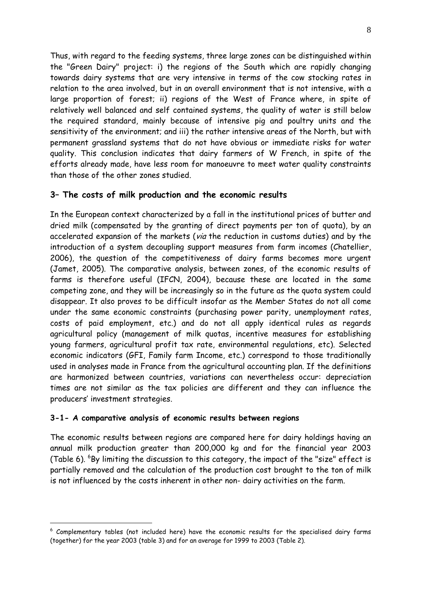Thus, with regard to the feeding systems, three large zones can be distinguished within the "Green Dairy" project: i) the regions of the South which are rapidly changing towards dairy systems that are very intensive in terms of the cow stocking rates in relation to the area involved, but in an overall environment that is not intensive, with a large proportion of forest; ii) regions of the West of France where, in spite of relatively well balanced and self contained systems, the quality of water is still below the required standard, mainly because of intensive pig and poultry units and the sensitivity of the environment; and iii) the rather intensive areas of the North, but with permanent grassland systems that do not have obvious or immediate risks for water quality. This conclusion indicates that dairy farmers of W French, in spite of the efforts already made, have less room for manoeuvre to meet water quality constraints than those of the other zones studied.

### 3– The costs of milk production and the economic results

In the European context characterized by a fall in the institutional prices of butter and dried milk (compensated by the granting of direct payments per ton of quota), by an accelerated expansion of the markets (via the reduction in customs duties) and by the introduction of a system decoupling support measures from farm incomes (Chatellier, 2006), the question of the competitiveness of dairy farms becomes more urgent (Jamet, 2005). The comparative analysis, between zones, of the economic results of farms is therefore useful (IFCN, 2004), because these are located in the same competing zone, and they will be increasingly so in the future as the quota system could disappear. It also proves to be difficult insofar as the Member States do not all come under the same economic constraints (purchasing power parity, unemployment rates, costs of paid employment, etc.) and do not all apply identical rules as regards agricultural policy (management of milk quotas, incentive measures for establishing young farmers, agricultural profit tax rate, environmental regulations, etc). Selected economic indicators (GFI, Family farm Income, etc.) correspond to those traditionally used in analyses made in France from the agricultural accounting plan. If the definitions are harmonized between countries, variations can nevertheless occur: depreciation times are not similar as the tax policies are different and they can influence the producers' investment strategies.

### 3-1- A comparative analysis of economic results between regions

 $\overline{a}$ 

The economic results between regions are compared here for dairy holdings having an annual milk production greater than 200,000 kg and for the financial year 2003 (Table 6).  $^{6}$ By limiting the discussion to this category, the impact of the "size" effect is partially removed and the calculation of the production cost brought to the ton of milk is not influenced by the costs inherent in other non- dairy activities on the farm.

 $^6$  Complementary tables (not included here) have the economic results for the specialised dairy farms (together) for the year 2003 (table 3) and for an average for 1999 to 2003 (Table 2).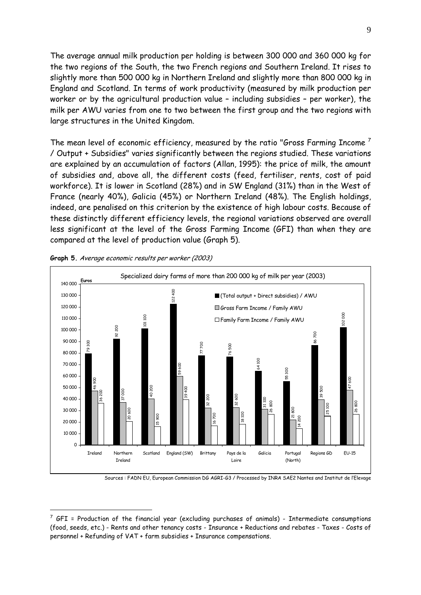The average annual milk production per holding is between 300 000 and 360 000 kg for the two regions of the South, the two French regions and Southern Ireland. It rises to slightly more than 500 000 kg in Northern Ireland and slightly more than 800 000 kg in England and Scotland. In terms of work productivity (measured by milk production per worker or by the agricultural production value – including subsidies – per worker), the milk per AWU varies from one to two between the first group and the two regions with large structures in the United Kingdom.

The mean level of economic efficiency, measured by the ratio "Gross Farming Income" / Output + Subsidies" varies significantly between the regions studied. These variations are explained by an accumulation of factors (Allan, 1995): the price of milk, the amount of subsidies and, above all, the different costs (feed, fertiliser, rents, cost of paid workforce). It is lower in Scotland (28%) and in SW England (31%) than in the West of France (nearly 40%), Galicia (45%) or Northern Ireland (48%). The English holdings, indeed, are penalised on this criterion by the existence of high labour costs. Because of these distinctly different efficiency levels, the regional variations observed are overall less significant at the level of the Gross Farming Income (GFI) than when they are compared at the level of production value (Graph 5).



Graph 5. Average economic results per worker (2003)

 $\overline{a}$ 

Sources : FADN EU, European Commission DG AGRI-G3 / Processed by INRA SAE2 Nantes and Institut de l'Elevage

 $^7$  GFI = Production of the financial year (excluding purchases of animals) - Intermediate consumptions (food, seeds, etc.) - Rents and other tenancy costs - Insurance + Reductions and rebates - Taxes - Costs of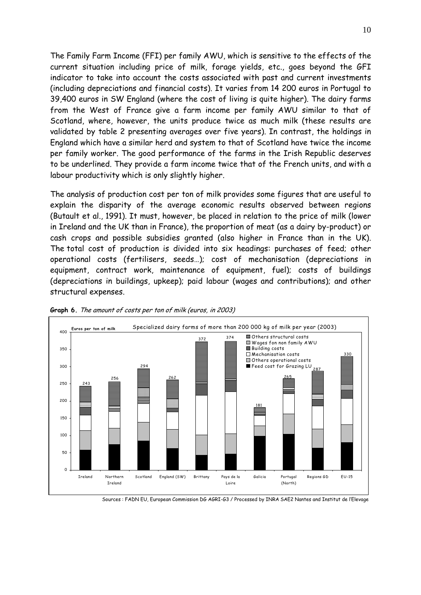The Family Farm Income (FFI) per family AWU, which is sensitive to the effects of the current situation including price of milk, forage yields, etc., goes beyond the GFI indicator to take into account the costs associated with past and current investments (including depreciations and financial costs). It varies from 14 200 euros in Portugal to 39,400 euros in SW England (where the cost of living is quite higher). The dairy farms from the West of France give a farm income per family AWU similar to that of Scotland, where, however, the units produce twice as much milk (these results are validated by table 2 presenting averages over five years). In contrast, the holdings in England which have a similar herd and system to that of Scotland have twice the income per family worker. The good performance of the farms in the Irish Republic deserves to be underlined. They provide a farm income twice that of the French units, and with a labour productivity which is only slightly higher.

The analysis of production cost per ton of milk provides some figures that are useful to explain the disparity of the average economic results observed between regions (Butault et al., 1991). It must, however, be placed in relation to the price of milk (lower in Ireland and the UK than in France), the proportion of meat (as a dairy by-product) or cash crops and possible subsidies granted (also higher in France than in the UK). The total cost of production is divided into six headings: purchases of feed; other operational costs (fertilisers, seeds…); cost of mechanisation (depreciations in equipment, contract work, maintenance of equipment, fuel); costs of buildings (depreciations in buildings, upkeep); paid labour (wages and contributions); and other structural expenses.



Graph 6. The amount of costs per ton of milk (euros, in 2003)

Sources : FADN EU, European Commission DG AGRI-G3 / Processed by INRA SAE2 Nantes and Institut de l'Elevage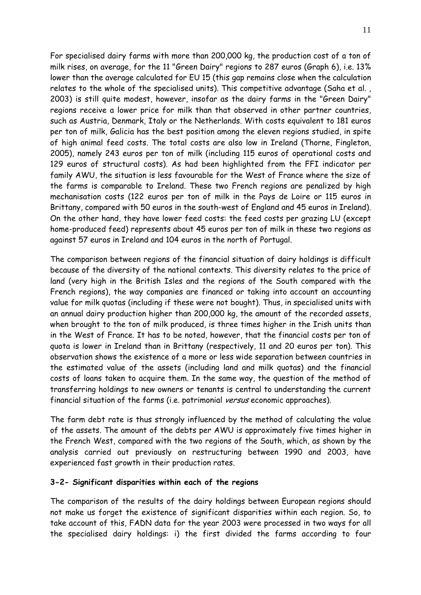For specialised dairy farms with more than 200,000 kg, the production cost of a ton of milk rises, on average, for the 11 "Green Dairy" regions to 287 euros (Graph 6), i.e. 13% lower than the average calculated for EU 15 (this gap remains close when the calculation relates to the whole of the specialised units). This competitive advantage (Saha et al. , 2003) is still quite modest, however, insofar as the dairy farms in the "Green Dairy" regions receive a lower price for milk than that observed in other partner countries, such as Austria, Denmark, Italy or the Netherlands. With costs equivalent to 181 euros per ton of milk, Galicia has the best position among the eleven regions studied, in spite of high animal feed costs. The total costs are also low in Ireland (Thorne, Fingleton, 2005), namely 243 euros per ton of milk (including 115 euros of operational costs and 129 euros of structural costs). As had been highlighted from the FFI indicator per family AWU, the situation is less favourable for the West of France where the size of the farms is comparable to Ireland. These two French regions are penalized by high mechanisation costs (122 euros per ton of milk in the Pays de Loire or 115 euros in Brittany, compared with 50 euros in the south-west of England and 45 euros in Ireland). On the other hand, they have lower feed costs: the feed costs per grazing LU (except home-produced feed) represents about 45 euros per ton of milk in these two regions as against 57 euros in Ireland and 104 euros in the north of Portugal.

The comparison between regions of the financial situation of dairy holdings is difficult because of the diversity of the national contexts. This diversity relates to the price of land (very high in the British Isles and the regions of the South compared with the French regions), the way companies are financed or taking into account an accounting value for milk quotas (including if these were not bought). Thus, in specialised units with an annual dairy production higher than 200,000 kg, the amount of the recorded assets, when brought to the ton of milk produced, is three times higher in the Irish units than in the West of France. It has to be noted, however, that the financial costs per ton of quota is lower in Ireland than in Brittany (respectively, 11 and 20 euros per ton). This observation shows the existence of a more or less wide separation between countries in the estimated value of the assets (including land and milk quotas) and the financial costs of loans taken to acquire them. In the same way, the question of the method of transferring holdings to new owners or tenants is central to understanding the current financial situation of the farms (i.e. patrimonial versus economic approaches).

The farm debt rate is thus strongly influenced by the method of calculating the value of the assets. The amount of the debts per AWU is approximately five times higher in the French West, compared with the two regions of the South, which, as shown by the analysis carried out previously on restructuring between 1990 and 2003, have experienced fast growth in their production rates.

### 3-2- Significant disparities within each of the regions

The comparison of the results of the dairy holdings between European regions should not make us forget the existence of significant disparities within each region. So, to take account of this, FADN data for the year 2003 were processed in two ways for all the specialised dairy holdings: i) the first divided the farms according to four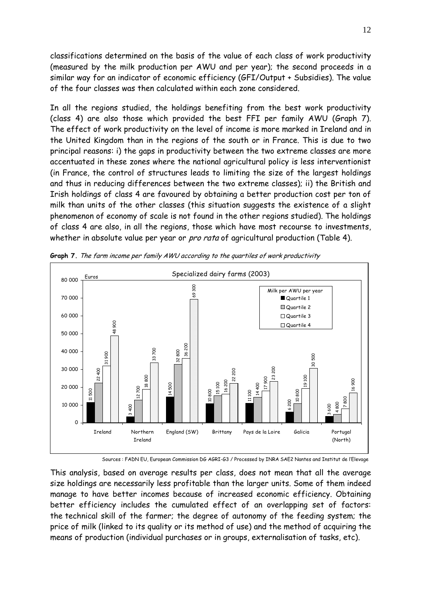classifications determined on the basis of the value of each class of work productivity (measured by the milk production per AWU and per year); the second proceeds in a similar way for an indicator of economic efficiency (GFI/Output + Subsidies). The value of the four classes was then calculated within each zone considered.

In all the regions studied, the holdings benefiting from the best work productivity (class 4) are also those which provided the best FFI per family AWU (Graph 7). The effect of work productivity on the level of income is more marked in Ireland and in the United Kingdom than in the regions of the south or in France. This is due to two principal reasons: i) the gaps in productivity between the two extreme classes are more accentuated in these zones where the national agricultural policy is less interventionist (in France, the control of structures leads to limiting the size of the largest holdings and thus in reducing differences between the two extreme classes); ii) the British and Irish holdings of class 4 are favoured by obtaining a better production cost per ton of milk than units of the other classes (this situation suggests the existence of a slight phenomenon of economy of scale is not found in the other regions studied). The holdings of class 4 are also, in all the regions, those which have most recourse to investments, whether in absolute value per year or *pro rata* of agricultural production (Table 4).



Graph 7. The farm income per family AWU according to the quartiles of work productivity

Sources : FADN EU, European Commission DG AGRI-G3 / Processed by INRA SAE2 Nantes and Institut de l'Elevage

This analysis, based on average results per class, does not mean that all the average size holdings are necessarily less profitable than the larger units. Some of them indeed manage to have better incomes because of increased economic efficiency. Obtaining better efficiency includes the cumulated effect of an overlapping set of factors: the technical skill of the farmer; the degree of autonomy of the feeding system; the price of milk (linked to its quality or its method of use) and the method of acquiring the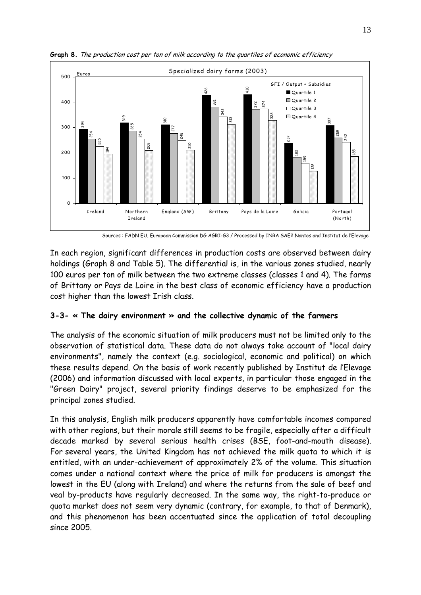

Graph 8. The production cost per ton of milk according to the quartiles of economic efficiency

Sources : FADN EU, European Commission DG AGRI-G3 / Processed by INRA SAE2 Nantes and Institut de l'Elevage

In each region, significant differences in production costs are observed between dairy holdings (Graph 8 and Table 5). The differential is, in the various zones studied, nearly 100 euros per ton of milk between the two extreme classes (classes 1 and 4). The farms of Brittany or Pays de Loire in the best class of economic efficiency have a production cost higher than the lowest Irish class.

### 3-3- « The dairy environment » and the collective dynamic of the farmers

The analysis of the economic situation of milk producers must not be limited only to the observation of statistical data. These data do not always take account of "local dairy environments", namely the context (e.g. sociological, economic and political) on which these results depend. On the basis of work recently published by Institut de l'Elevage (2006) and information discussed with local experts, in particular those engaged in the "Green Dairy" project, several priority findings deserve to be emphasized for the principal zones studied.

 $\begin{array}{c}\n \begin{array}{r}\n \text{300} \\
\text{200} \\
\text{200} \\
\text{100} \\
\text{200}\n \end{array}\n \end{array}$   $\begin{array}{r}\n \frac{1}{8} \\
\text{200} \\
\text{200}\n \end{array}$   $\begin{array}{r}\n \text{In each regi} \\
\text{holds (Gr} \\
\text{100 euros per} \\
\text{100 euros per} \\
\text{100 euros per} \\
\text{100 euros per} \\
\text{100 errors per} \\
\text{100 servers in the image \\
\text{1000} \\
\text{100} \\
\text{100}$ In this analysis, English milk producers apparently have comfortable incomes compared with other regions, but their morale still seems to be fragile, especially after a difficult decade marked by several serious health crises (BSE, foot-and-mouth disease). For several years, the United Kingdom has not achieved the milk quota to which it is entitled, with an under-achievement of approximately 2% of the volume. This situation comes under a national context where the price of milk for producers is amongst the lowest in the EU (along with Ireland) and where the returns from the sale of beef and veal by-products have regularly decreased. In the same way, the right-to-produce or quota market does not seem very dynamic (contrary, for example, to that of Denmark), and this phenomenon has been accentuated since the application of total decoupling since 2005.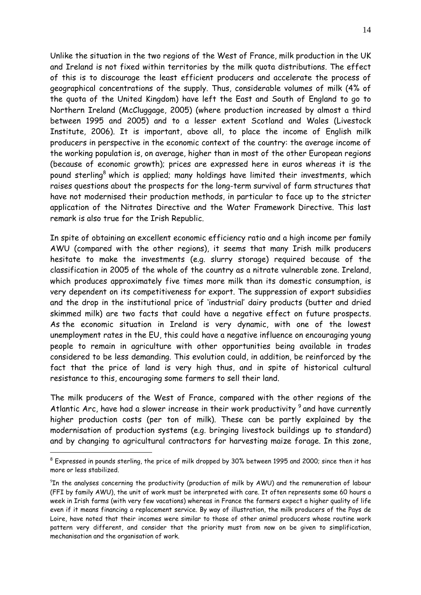Unlike the situation in the two regions of the West of France, milk production in the UK and Ireland is not fixed within territories by the milk quota distributions. The effect of this is to discourage the least efficient producers and accelerate the process of geographical concentrations of the supply. Thus, considerable volumes of milk (4% of the quota of the United Kingdom) have left the East and South of England to go to Northern Ireland (McCluggage, 2005) (where production increased by almost a third between 1995 and 2005) and to a lesser extent Scotland and Wales (Livestock Institute, 2006). It is important, above all, to place the income of English milk producers in perspective in the economic context of the country: the average income of the working population is, on average, higher than in most of the other European regions (because of economic growth); prices are expressed here in euros whereas it is the pound sterling<sup>8</sup> which is applied; many holdings have limited their investments, which raises questions about the prospects for the long-term survival of farm structures that have not modernised their production methods, in particular to face up to the stricter application of the Nitrates Directive and the Water Framework Directive. This last remark is also true for the Irish Republic.

In spite of obtaining an excellent economic efficiency ratio and a high income per family AWU (compared with the other regions), it seems that many Irish milk producers hesitate to make the investments (e.g. slurry storage) required because of the classification in 2005 of the whole of the country as a nitrate vulnerable zone. Ireland, which produces approximately five times more milk than its domestic consumption, is very dependent on its competitiveness for export. The suppression of export subsidies and the drop in the institutional price of 'industrial' dairy products (butter and dried skimmed milk) are two facts that could have a negative effect on future prospects. As the economic situation in Ireland is very dynamic, with one of the lowest unemployment rates in the EU, this could have a negative influence on encouraging young people to remain in agriculture with other opportunities being available in trades considered to be less demanding. This evolution could, in addition, be reinforced by the fact that the price of land is very high thus, and in spite of historical cultural resistance to this, encouraging some farmers to sell their land.

The milk producers of the West of France, compared with the other regions of the Atlantic Arc, have had a slower increase in their work productivity<sup>9</sup> and have currently higher production costs (per ton of milk). These can be partly explained by the modernisation of production systems (e.g. bringing livestock buildings up to standard) and by changing to agricultural contractors for harvesting maize forage. In this zone,

 $\overline{a}$ 

 $^8$  Expressed in pounds sterling, the price of milk dropped by 30% between 1995 and 2000; since then it has more or less stabilized.

 $^9{\rm T}$ n the analyses concerning the productivity (production of milk by AWU) and the remuneration of labour (FFI by family AWU), the unit of work must be interpreted with care. It often represents some 60 hours a week in Irish farms (with very few vacations) whereas in France the farmers expect a higher quality of life even if it means financing a replacement service. By way of illustration, the milk producers of the Pays de Loire, have noted that their incomes were similar to those of other animal producers whose routine work pattern very different, and consider that the priority must from now on be given to simplification, mechanisation and the organisation of work.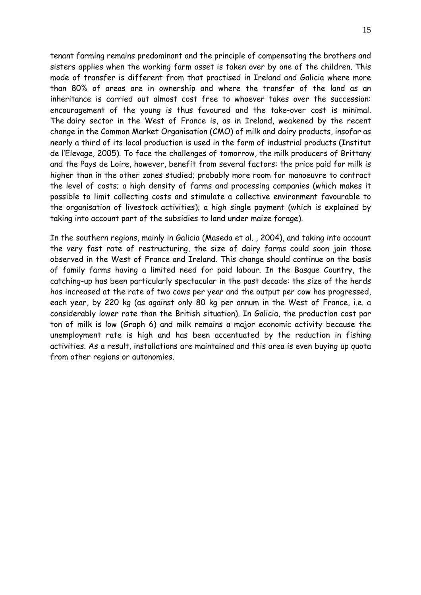tenant farming remains predominant and the principle of compensating the brothers and sisters applies when the working farm asset is taken over by one of the children. This mode of transfer is different from that practised in Ireland and Galicia where more than 80% of areas are in ownership and where the transfer of the land as an inheritance is carried out almost cost free to whoever takes over the succession: encouragement of the young is thus favoured and the take-over cost is minimal. The dairy sector in the West of France is, as in Ireland, weakened by the recent change in the Common Market Organisation (CMO) of milk and dairy products, insofar as nearly a third of its local production is used in the form of industrial products (Institut de l'Elevage, 2005). To face the challenges of tomorrow, the milk producers of Brittany and the Pays de Loire, however, benefit from several factors: the price paid for milk is higher than in the other zones studied; probably more room for manoeuvre to contract the level of costs; a high density of farms and processing companies (which makes it possible to limit collecting costs and stimulate a collective environment favourable to the organisation of livestock activities); a high single payment (which is explained by taking into account part of the subsidies to land under maize forage).

In the southern regions, mainly in Galicia (Maseda et al. , 2004), and taking into account the very fast rate of restructuring, the size of dairy farms could soon join those observed in the West of France and Ireland. This change should continue on the basis of family farms having a limited need for paid labour. In the Basque Country, the catching-up has been particularly spectacular in the past decade: the size of the herds has increased at the rate of two cows per year and the output per cow has progressed, each year, by 220 kg (as against only 80 kg per annum in the West of France, i.e. a considerably lower rate than the British situation). In Galicia, the production cost par ton of milk is low (Graph 6) and milk remains a major economic activity because the unemployment rate is high and has been accentuated by the reduction in fishing activities. As a result, installations are maintained and this area is even buying up quota from other regions or autonomies.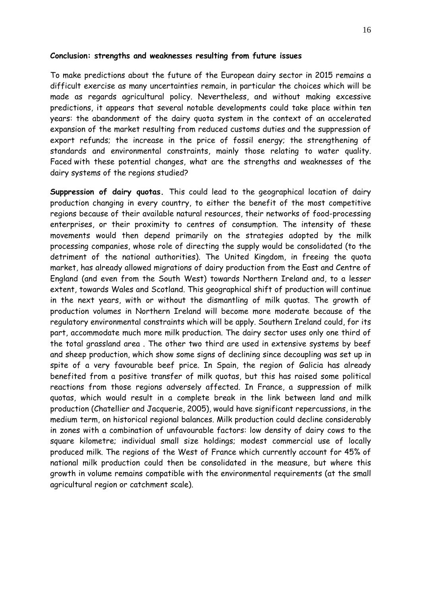#### Conclusion: strengths and weaknesses resulting from future issues

To make predictions about the future of the European dairy sector in 2015 remains a difficult exercise as many uncertainties remain, in particular the choices which will be made as regards agricultural policy. Nevertheless, and without making excessive predictions, it appears that several notable developments could take place within ten years: the abandonment of the dairy quota system in the context of an accelerated expansion of the market resulting from reduced customs duties and the suppression of export refunds; the increase in the price of fossil energy; the strengthening of standards and environmental constraints, mainly those relating to water quality. Faced with these potential changes, what are the strengths and weaknesses of the dairy systems of the regions studied?

Suppression of dairy quotas. This could lead to the geographical location of dairy production changing in every country, to either the benefit of the most competitive regions because of their available natural resources, their networks of food-processing enterprises, or their proximity to centres of consumption. The intensity of these movements would then depend primarily on the strategies adopted by the milk processing companies, whose role of directing the supply would be consolidated (to the detriment of the national authorities). The United Kingdom, in freeing the quota market, has already allowed migrations of dairy production from the East and Centre of England (and even from the South West) towards Northern Ireland and, to a lesser extent, towards Wales and Scotland. This geographical shift of production will continue in the next years, with or without the dismantling of milk quotas. The growth of production volumes in Northern Ireland will become more moderate because of the regulatory environmental constraints which will be apply. Southern Ireland could, for its part, accommodate much more milk production. The dairy sector uses only one third of the total grassland area . The other two third are used in extensive systems by beef and sheep production, which show some signs of declining since decoupling was set up in spite of a very favourable beef price. In Spain, the region of Galicia has already benefited from a positive transfer of milk quotas, but this has raised some political reactions from those regions adversely affected. In France, a suppression of milk quotas, which would result in a complete break in the link between land and milk production (Chatellier and Jacquerie, 2005), would have significant repercussions, in the medium term, on historical regional balances. Milk production could decline considerably in zones with a combination of unfavourable factors: low density of dairy cows to the square kilometre; individual small size holdings; modest commercial use of locally produced milk. The regions of the West of France which currently account for 45% of national milk production could then be consolidated in the measure, but where this growth in volume remains compatible with the environmental requirements (at the small agricultural region or catchment scale).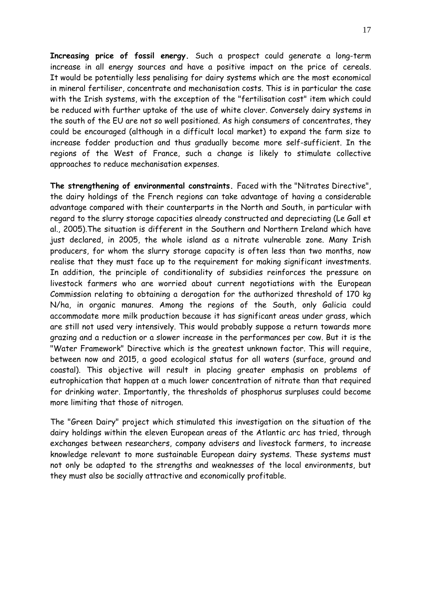Increasing price of fossil energy. Such a prospect could generate a long-term increase in all energy sources and have a positive impact on the price of cereals. It would be potentially less penalising for dairy systems which are the most economical in mineral fertiliser, concentrate and mechanisation costs. This is in particular the case with the Irish systems, with the exception of the "fertilisation cost" item which could be reduced with further uptake of the use of white clover. Conversely dairy systems in the south of the EU are not so well positioned. As high consumers of concentrates, they could be encouraged (although in a difficult local market) to expand the farm size to increase fodder production and thus gradually become more self-sufficient. In the regions of the West of France, such a change is likely to stimulate collective approaches to reduce mechanisation expenses.

The strengthening of environmental constraints. Faced with the "Nitrates Directive", the dairy holdings of the French regions can take advantage of having a considerable advantage compared with their counterparts in the North and South, in particular with regard to the slurry storage capacities already constructed and depreciating (Le Gall et al., 2005).The situation is different in the Southern and Northern Ireland which have just declared, in 2005, the whole island as a nitrate vulnerable zone. Many Irish producers, for whom the slurry storage capacity is often less than two months, now realise that they must face up to the requirement for making significant investments. In addition, the principle of conditionality of subsidies reinforces the pressure on livestock farmers who are worried about current negotiations with the European Commission relating to obtaining a derogation for the authorized threshold of 170 kg N/ha, in organic manures. Among the regions of the South, only Galicia could accommodate more milk production because it has significant areas under grass, which are still not used very intensively. This would probably suppose a return towards more grazing and a reduction or a slower increase in the performances per cow. But it is the "Water Framework" Directive which is the greatest unknown factor. This will require, between now and 2015, a good ecological status for all waters (surface, ground and coastal). This objective will result in placing greater emphasis on problems of eutrophication that happen at a much lower concentration of nitrate than that required for drinking water. Importantly, the thresholds of phosphorus surpluses could become more limiting that those of nitrogen.

The "Green Dairy" project which stimulated this investigation on the situation of the dairy holdings within the eleven European areas of the Atlantic arc has tried, through exchanges between researchers, company advisers and livestock farmers, to increase knowledge relevant to more sustainable European dairy systems. These systems must not only be adapted to the strengths and weaknesses of the local environments, but they must also be socially attractive and economically profitable.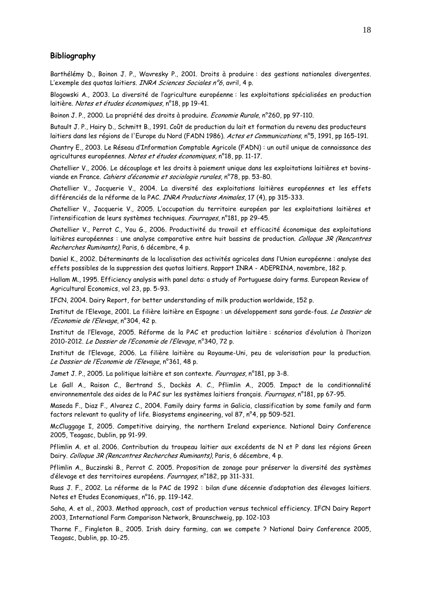#### Bibliography

Barthélémy D., Boinon J. P., Wavresky P., 2001. Droits à produire : des gestions nationales divergentes. L'exemple des quotas laitiers. *INRA Sciences Sociales n°6*, avril, 4 p.

Blogowski A., 2003. La diversité de l'agriculture européenne : les exploitations spécialisées en production laitière. Notes et études économiques, n°18, pp 19-41.

Boinon J. P., 2000. La propriété des droits à produire. Economie Rurale, n°260, pp 97-110.

Butault J. P., Hairy D., Schmitt B., 1991. Coût de production du lait et formation du revenu des producteurs laitiers dans les régions de l'Europe du Nord (FADN 1986). Actes et Communications, n°5, 1991, pp 165-191.

Chantry E., 2003. Le Réseau d'Information Comptable Agricole (FADN) : un outil unique de connaissance des agricultures européennes. Notes et études économiques, n°18, pp. 11-17.

Chatellier V., 2006. Le découplage et les droits à paiement unique dans les exploitations laitières et bovinsviande en France. Cahiers d'économie et sociologie rurales, n°78, pp. 53-80.

Chatellier V., Jacquerie V., 2004. La diversité des exploitations laitières européennes et les effets différenciés de la réforme de la PAC. INRA Productions Animales, 17 (4), pp 315-333.

Chatellier V., Jacquerie V., 2005. L'occupation du territoire européen par les exploitations laitières et l'intensification de leurs systèmes techniques. Fourrages, n°181, pp 29-45.

Chatellier V., Perrot C., You G., 2006. Productivité du travail et efficacité économique des exploitations laitières européennes : une analyse comparative entre huit bassins de production. Colloque 3R (Rencontres Recherches Ruminants), Paris, 6 décembre, 4 p.

Daniel K., 2002. Déterminants de la localisation des activités agricoles dans l'Union européenne : analyse des effets possibles de la suppression des quotas laitiers. Rapport INRA - ADEPRINA, novembre, 182 p.

Hallam M., 1995. Efficiency analysis with panel data: a study of Portuguese dairy farms. European Review of Agricultural Economics, vol 23, pp. 5-93.

IFCN, 2004. Dairy Report, for better understanding of milk production worldwide, 152 p.

Institut de l'Elevage, 2001. La filière laitière en Espagne : un développement sans garde-fous. Le Dossier de l'Economie de l'Elevage, n°304, 42 p.

Institut de l'Elevage, 2005. Réforme de la PAC et production laitière : scénarios d'évolution à l'horizon 2010-2012. Le Dossier de l'Economie de l'Elevage, n°340, 72 p.

Institut de l'Elevage, 2006. La filière laitière au Royaume-Uni, peu de valorisation pour la production. Le Dossier de l'Economie de l'Elevage, n°361, 48 p.

Jamet J. P., 2005. La politique laitière et son contexte. Fourrages, n°181, pp 3-8.

Le Gall A., Raison C., Bertrand S., Dockès A. C., Pflimlin A., 2005. Impact de la conditionnalité environnementale des aides de la PAC sur les systèmes laitiers français. Fourrages, n°181, pp 67-95.

Maseda F., Diaz F., Alvarez C., 2004. Family dairy farms in Galicia, classification by some family and farm factors relevant to quality of life. Biosystems engineering, vol 87, n°4, pp 509-521.

McCluggage I, 2005. Competitive dairying, the northern Ireland experience. National Dairy Conference 2005, Teagasc, Dublin, pp 91-99.

Pflimlin A. et al. 2006. Contribution du troupeau laitier aux excédents de N et P dans les régions Green Dairy. Colloque 3R (Rencontres Recherches Ruminants), Paris, 6 décembre, 4 p.

Pflimlin A., Buczinski B., Perrot C. 2005. Proposition de zonage pour préserver la diversité des systèmes d'élevage et des territoires européens. Fourrages, n°182, pp 311-331.

Ruas J. F., 2002. La réforme de la PAC de 1992 : bilan d'une décennie d'adaptation des élevages laitiers. Notes et Etudes Economiques, n°16, pp. 119-142.

Saha, A. et al., 2003. Method approach, cost of production versus technical efficiency. IFCN Dairy Report 2003, International Farm Comparison Network, Braunschweig, pp. 102-103

Thorne F., Fingleton B., 2005. Irish dairy farming, can we compete ? National Dairy Conference 2005, Teagasc, Dublin, pp. 10-25.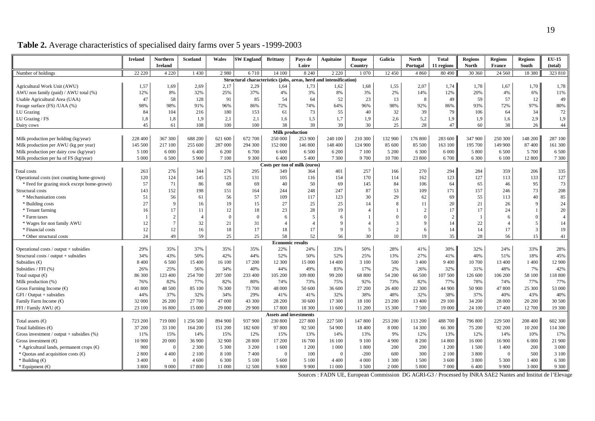|                                                                                                                                                                                                           | Ireland                | Northern          | Scotland                   | Wales                             | <b>SW England</b>                                                  | <b>Brittany</b>                  | Pays de                 | <b>Aquitaine</b>           | <b>Basque</b>                     | Galicia        | <b>North</b>           | <b>Total</b>                                | <b>Regions</b>        | <b>Regions</b>               | <b>Regions</b>                      | <b>EU-15</b>   |
|-----------------------------------------------------------------------------------------------------------------------------------------------------------------------------------------------------------|------------------------|-------------------|----------------------------|-----------------------------------|--------------------------------------------------------------------|----------------------------------|-------------------------|----------------------------|-----------------------------------|----------------|------------------------|---------------------------------------------|-----------------------|------------------------------|-------------------------------------|----------------|
|                                                                                                                                                                                                           |                        | <b>Ireland</b>    |                            |                                   |                                                                    |                                  | Loire                   |                            | Country                           |                | Portugal               | 11 regions                                  | North                 | <b>France</b>                | South                               | (total)        |
| Number of holdings                                                                                                                                                                                        | 22 220                 | 4 2 2 0           | 1 4 3 0                    | 2980                              | 6710                                                               | 14 100                           | 8 2 4 0                 | 2 2 2 0                    | 1070                              | 12 450         | 4 8 6 0                | 80 490                                      | 30 360                | 24 5 60                      | 18 380                              | 323 810        |
|                                                                                                                                                                                                           |                        |                   |                            |                                   | Structural characteristics (jobs, areas, herd and intensification) |                                  |                         |                            |                                   |                |                        |                                             |                       |                              |                                     |                |
| Agricultural Work Unit (AWU)                                                                                                                                                                              | 1,57                   | 1,69              | 2,69                       | 2,17                              | 2,29                                                               | 1,64                             | 1,73                    | 1,62                       | 1,68                              | 1,55           | 2,07                   | 1,74                                        | 1,78                  | 1,67                         | 1,70                                | 1,78           |
| AWU non family (paid) / AWU total (%)                                                                                                                                                                     | 12%                    | 8%                | 32%                        | 25%                               | 37%                                                                | 4%                               | 3%                      | 8%                         | 3%                                | 2%             | 14%                    | 12%                                         | 20%                   | 4%                           | 6%                                  | 11%            |
| Usable Agricultural Area (UAA)                                                                                                                                                                            | 47                     | 58                | 128                        | 91                                | 85                                                                 | 54                               | 64                      | 52                         | 23                                | 13             | -8                     | 49                                          | 59                    | 57                           | 12                                  | 49             |
| Forage surface (FS) /UAA (%)                                                                                                                                                                              | 98%                    | 98%               | 91%                        | 96%                               | 86%                                                                | 72%                              | 74%                     | 64%                        | 96%                               | 98%            | 92%                    | 86%                                         | 93%                   | 72%                          | 97%                                 | 80%            |
| LU Grazing                                                                                                                                                                                                | 84                     | 104               | 216                        | 180                               | 153                                                                | 61                               | 73                      | 55                         | 40                                | 32             | 39                     | 79                                          | 106                   | 64                           | 34                                  | 72             |
| LU Grazing / FS                                                                                                                                                                                           | 1,8                    | 1,8               | 1,9                        | 2,1                               | 2,1                                                                | 1,6                              | 1,5                     | 1,7                        | 1,9                               | 2,6            | 5,2                    | 1,9                                         | 1,9                   | 1,6                          | 2,9                                 | 1,9            |
| Dairy cows                                                                                                                                                                                                | 45                     | 61                | 108                        | 100                               | 100                                                                | 38                               | 39                      | 39                         | 30                                | 25             | 28                     | 47                                          | 60                    | 38                           | 26                                  | 44             |
|                                                                                                                                                                                                           |                        |                   |                            |                                   |                                                                    |                                  | <b>Milk production</b>  |                            |                                   |                |                        |                                             |                       |                              |                                     |                |
| Milk production per holding (kg/year)                                                                                                                                                                     | 228 400                | 367 300           | 688 200                    | 621 600                           | 672 700                                                            | 250 000                          | 253 900                 | 240 100                    | 210 300                           | 132 900        | 176 800                | 283 600                                     | 347 900               | 250 300                      | 148 200                             | 287 100        |
| Milk production per AWU (kg per year)                                                                                                                                                                     | 145 500                | 217 100           | 255 600                    | 287 000                           | 294 300                                                            | 152 000                          | 146 800                 | 148 400                    | 124 900                           | 85 600         | 85 500                 | 163 100                                     | 195 700               | 149 900                      | 87 400                              | 161 300        |
| Milk production per dairy cow (kg/year)                                                                                                                                                                   | 5 100                  | 6 0 0 0           | 6 4 0 0                    | 6 200                             | 6 700                                                              | 6 600                            | 6 500                   | 6 200                      | 7 100                             | 5 200          | 6 300                  | 6 0 0 0                                     | 5 800                 | 6 500                        | 5 700                               | 6 500          |
| Milk production per ha of FS (kg/year)                                                                                                                                                                    | 5 000                  | 6 500             | 5 900                      | 7 100                             | 9 3 0 0                                                            | 6400                             | 5 4 0 0                 | 7 3 0 0                    | 9 700                             | 10 700         | 23 800                 | 6700                                        | 6 300                 | 6 100                        | 12 800                              | 7 3 0 0        |
| Costs per ton of milk (euros)                                                                                                                                                                             |                        |                   |                            |                                   |                                                                    |                                  |                         |                            |                                   |                |                        |                                             |                       |                              |                                     |                |
| Total costs                                                                                                                                                                                               | 263                    | 276               | 344                        | 276                               | 295                                                                | 349                              | 364                     | 401                        | 257                               | 166            | 270                    | 294                                         | 284                   | 359                          | 206                                 | 335            |
| Operational costs (not counting home-grown)                                                                                                                                                               | 120                    | 124               | 145                        | 125                               | 131                                                                | 105                              | 116                     | 154                        | 170                               | 114            | 162                    | 123                                         | 127                   | 113                          | 133                                 | 127            |
| * Feed for grazing stock except home-grown)                                                                                                                                                               | 57                     | 71                | 86                         | 68                                | 69                                                                 | 40                               | 50                      | 69                         | 145                               | 84             | 106                    | 64                                          | 65                    | 46                           | 95                                  | 73             |
| Structural costs                                                                                                                                                                                          | 143                    | 152               | 198                        | 151                               | 164                                                                | 244                              | 248                     | 247                        | 87                                | 53             | 109                    | 171                                         | 157                   | 246                          | 73                                  | 208            |
| * Mechanisation costs                                                                                                                                                                                     | 51                     | 56                | 61                         | 56                                | 57                                                                 | 109                              | 117                     | 123                        | 30                                | 29             | 62                     | 69                                          | 55                    | 113                          | 40                                  | 85             |
| * Building costs                                                                                                                                                                                          | 27                     | 9                 | 16                         | 19                                | 15                                                                 | 27                               | 25                      | 25                         | 14                                | -8             | 11                     | 20                                          | 21                    | 26                           | 9                                   | 24             |
| * Tenant farming                                                                                                                                                                                          | 16                     | 17                | 11                         | 12                                | 18                                                                 | 23                               | 28                      | 19                         |                                   |                |                        | 17                                          | 17                    | 24                           | $\mathbf{1}$                        | 20             |
| * Farm taxes                                                                                                                                                                                              |                        | $\overline{2}$    | $\overline{4}$             | $\Omega$                          | $\Omega$                                                           | 6                                | 5                       | 6                          |                                   | $\Omega$       |                        | $\overline{2}$                              |                       | -6                           | $\overline{0}$                      | $\overline{4}$ |
| * Wages for non family AWU                                                                                                                                                                                | 12                     | $7\phantom{.0}$   | 32                         | 21                                | 31                                                                 | $\overline{4}$                   | $\overline{4}$          | 9                          |                                   | 3              |                        | 14                                          | 22                    | $\overline{4}$               | 5                                   | 14             |
| * Financial costs                                                                                                                                                                                         | 12                     | 12                | 16                         | 18                                | 17                                                                 | 18                               | 17                      | 9                          | 5                                 | $\overline{2}$ | 6                      | 14                                          | 14                    | 17                           | $\mathbf{3}$                        | 19             |
| * Other structural costs                                                                                                                                                                                  | 24                     | 49                | 59                         | 25                                | 25                                                                 | 58                               | 52                      | 56                         | 30                                | 10             | 19                     | 35                                          | 28                    | 56                           | 15                                  | 41             |
|                                                                                                                                                                                                           |                        |                   |                            |                                   |                                                                    |                                  | <b>Economic results</b> |                            |                                   |                |                        |                                             |                       |                              |                                     |                |
| Operational costs / output + subsidies                                                                                                                                                                    | 29%                    | 35%               | 37%                        | 35%                               | 35%                                                                | 22%                              | 24%                     | 33%                        | 50%                               | 28%            | 41%                    | 30%                                         | 32%                   | 24%                          | 33%                                 | 28%            |
| Structural costs / output + subsidies                                                                                                                                                                     | 34%                    | 43%               | 50%                        | 42%                               | 44%                                                                | 52%                              | 50%                     | 52%                        | 25%                               | 13%            | 27%                    | 41%                                         | 40%                   | 51%                          | 18%                                 | 45%            |
| Subsidies $(\epsilon)$                                                                                                                                                                                    | 8 4 0 0                | 6 500             | 15 400                     | 16 100                            | 17 200                                                             | 12 300                           | 15 000                  | 14 400                     | 3 100                             | 500            | 3 4 0 0                | 9 4 0 0                                     | 10 700                | 13 400                       | 1 400                               | 12 900         |
| Subsidies / FFI (%)                                                                                                                                                                                       | 26%                    | 25%               | 56%                        | 34%                               | 40%                                                                | 44%                              | 49%                     | 83%                        | 17%                               | 2%             | 26%                    | 32%                                         | 31%                   | 48%                          | 7%                                  | 42%            |
| Total output $(\epsilon)$                                                                                                                                                                                 | 86 300                 | 123 400           | 254 700                    | 207 500                           | 233 400                                                            | 105 200                          | 109 800                 | 99 200                     | 68 800                            | 54 200         | 66 500                 | 107 500                                     | 126 600               | 106 200                      | 58 100                              | 118 800        |
| Milk production (%)                                                                                                                                                                                       | 76%                    | 82%               | 77%                        | 82%                               | 80%                                                                | 74%                              | 73%                     | 75%                        | 92%                               | 73%            | 82%                    | 77%                                         | 78%                   | 74%                          | 77%                                 | 77%            |
| Gross Farming Income $(\epsilon)$                                                                                                                                                                         | 41 800                 | 48 500            | 85 100                     | 76 300                            | 73 700                                                             | 48 000                           | 50 600                  | 36 600                     | 27 200                            | 26 400         | 22 300                 | 44 900                                      | 50 900                | 47 800                       | 25 300                              | 53 000         |
| $GFI / Output + subsidies$                                                                                                                                                                                | 44%                    | 37%               | 32%                        | 34%                               | 29%                                                                | 41%                              | 41%                     | 32%                        | 38%                               | 48%            | 32%                    | 38%                                         | 37%                   | 40%                          | 43%                                 | 40%            |
|                                                                                                                                                                                                           | 32 000                 | 26 200            | 27 700                     | 47 000                            | 43 300                                                             | 28 200                           | 30 600                  | 17 300                     | 18 100                            | 23 200         | 13 400                 | 29 100                                      | 34 200                | 28 000                       | 20 200                              | 30 500         |
| FFI / Family AWU (€)                                                                                                                                                                                      | 23 100                 | 16 800            | 15 000                     | 29 000                            | 29 900                                                             | 17 800                           | 18 300                  | 11 600                     | 11 200                            | 15 300         | 7 500                  | 19 000                                      | 24 100                | 17 400                       | 12 700                              | 19 300         |
|                                                                                                                                                                                                           |                        |                   |                            |                                   |                                                                    | Assets and inve                  | estments                |                            |                                   |                |                        |                                             |                       |                              |                                     |                |
| Total assets $(\epsilon)$                                                                                                                                                                                 | 723 200                | 719 000           | 1 256 500                  | 894 900                           | 937 900                                                            | 230 800                          | 227 800                 | 227 500                    | 147 800                           | 253 200        | 113 200                | 488 700                                     | 796 800               | 229 500                      | 208 400                             | 602 300        |
|                                                                                                                                                                                                           |                        |                   |                            |                                   |                                                                    |                                  |                         |                            |                                   |                |                        |                                             |                       |                              |                                     | 114 300        |
|                                                                                                                                                                                                           |                        | 15%               | 14%                        |                                   | 12%                                                                |                                  | 13%                     | 14%                        |                                   | 9%             |                        |                                             |                       | 14%                          |                                     | 17%            |
|                                                                                                                                                                                                           | 10 900                 | 20 000            | 36 900                     | 32 900                            |                                                                    |                                  | 16 700                  |                            | 9 1 0 0                           | 4 900          | 8 2 0 0                |                                             | 16 000                | 16 900                       |                                     | 21 900         |
| * Agricultural lands, permanent crops $(\epsilon)$                                                                                                                                                        | 900                    | $\Omega$          | 2 3 0 0                    | 5 3 0 0                           | 3 200                                                              | 1 600                            | 1 200                   | 1 0 0 0                    | 1800                              | 200            | 200                    | 1 200                                       | 1500                  | 1 400                        | 200                                 | 3 0 0 0        |
| * Ouotas and acquisition costs $(\epsilon)$                                                                                                                                                               | 2 8 0 0                | 4 4 0 0           | 2 100                      | 8 1 0 0                           |                                                                    | $\Omega$                         | 100                     | $\Omega$                   | $-200$                            | 600            | 300                    | 2 100                                       | 3 800                 | $\theta$                     | 500                                 | 3 1 0 0        |
|                                                                                                                                                                                                           |                        | $\Omega$          |                            |                                   | 5 100                                                              |                                  | 5 100                   | 4 4 0 0                    |                                   | 1 300          | 1 500                  |                                             | 3 800                 |                              | 1 4 0 0                             | 6 3 0 0        |
|                                                                                                                                                                                                           | 3 800                  |                   |                            |                                   |                                                                    | 9 800                            | 9 9 0 0                 |                            |                                   | 2 0 0 0        |                        |                                             |                       |                              |                                     | 9 3 0 0        |
| Family Farm Income $(\epsilon)$<br>Total liabilities $(\epsilon)$<br>Gross investment / output + subsidies $(\%)$<br>Gross investment $(\epsilon)$<br>* Building $(\epsilon)$<br>* Equipment $(\epsilon)$ | 37 200<br>11%<br>3 400 | 33 100<br>9 0 0 0 | 164 200<br>4 600<br>17 800 | 151 200<br>15%<br>6 300<br>11 000 | 182 600<br>28 800<br>7400<br>12 500                                | 97 800<br>15%<br>17 200<br>5 600 | 92 500                  | 54 900<br>16 100<br>11 000 | 18 400<br>13%<br>4 0 0 0<br>3 500 | 8 0 0 0        | 14 300<br>12%<br>5 800 | 66 300<br>13%<br>14 800<br>3 600<br>7 0 0 0 | 75 200<br>12%<br>6400 | 92 200<br>5 3 0 0<br>9 9 0 0 | 10 200<br>10%<br>6 0 0 0<br>3 0 0 0 |                |

# **Table 2.** Average characteristics of specialised dairy farms over 5 years -1999-2003

Sources : FADN UE, European Commission DG AGRI-G3 / Processed by INRA SAE2 Nantes and Institut de l'Elevage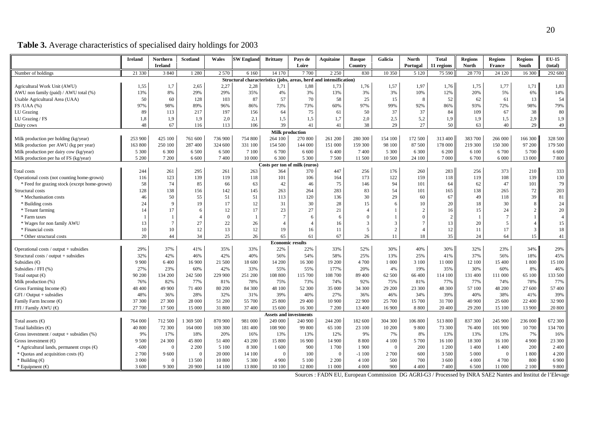|                                                    | <b>Ireland</b> | <b>Northern</b> | <b>Scotland</b> | Wales    | <b>SW England</b>                                                  | <b>Brittany</b> | Pays de                       | <b>Aquitaine</b> | <b>Basque</b> | Galicia  | <b>North</b>   | <b>Total</b> | <b>Regions</b> | <b>Regions</b>  | <b>Regions</b> | <b>EU-15</b>   |
|----------------------------------------------------|----------------|-----------------|-----------------|----------|--------------------------------------------------------------------|-----------------|-------------------------------|------------------|---------------|----------|----------------|--------------|----------------|-----------------|----------------|----------------|
|                                                    |                | <b>Ireland</b>  |                 |          |                                                                    |                 | Loire                         |                  | Country       |          | Portugal       | 11 regions   | <b>North</b>   | France          | South          | (total)        |
| Number of holdings                                 | 21 330         | 3 8 4 0         | 1 2 8 0         | 2 5 7 0  | 6 1 6 0                                                            | 14 170          | 7 700                         | 2 2 5 0          | 830           | 10 350   | 5 1 2 0        | 75 590       | 28 770         | 24 1 20         | 16 300         | 292 680        |
|                                                    |                |                 |                 |          | Structural characteristics (jobs, areas, herd and intensification) |                 |                               |                  |               |          |                |              |                |                 |                |                |
| Agricultural Work Unit (AWU)                       | 1,55           | 1,7             | 2,65            | 2,27     | 2,28                                                               | 1,71            | 1,88                          | 1,73             | 1,76          | 1,57     | 1,97           | 1,76         | 1,75           | 1,77            | 1,71           | 1,83           |
| AWU non family (paid) / AWU total (%)              | 13%            | 8%              | 29%             | 29%      | 35%                                                                | 4%              | 3%                            | 13%              | 3%            | 3%       | 10%            | 12%          | 20%            | 5%              | 6%             | 14%            |
| Usable Agricultural Area (UAA)                     | 50             | 60              | 128             | 103      | 87                                                                 | 57              | 70                            | 58               | 25            | 15       |                | 52           | 62             | 61              | 13             | 54             |
| FS/UAA(%)                                          | 97%            | 98%             | 89%             | 96%      | 86%                                                                | 73%             | 73%                           | 60%              | 97%           | 99%      | 92%            | 86%          | 93%            | 72%             | 98%            | 79%            |
| LU Grazing                                         | 89             | 113             | 217             | 197      | 156                                                                | 64              | 75                            | 61               | 50            | 37       | 37             | 84           | 109            | 67              | 38             | 80             |
| LU Grazing / FS                                    | 1,8            | 1,9             | 1,9             | 2,0      | 2,1                                                                | 1,5             | 1,5                           | 1,7              | 2,0           | 2,5      | 5,2            | 1,9          | 1,9            | 1,5             | 2,9            | 1,9            |
| Dairy cows                                         | 48             | 67              | 116             | 113      | 106                                                                | 39              | 41                            | 41               | 38            | 29       | 27             | 50           | 63             | 40              | 29             | 49             |
|                                                    |                |                 |                 |          |                                                                    |                 | <b>Milk production</b>        |                  |               |          |                |              |                |                 |                |                |
| Milk production per holding (kg/year)              | 253 900        | 425 100         | 761 600         | 736 900  | 754 800                                                            | 264 100         | 270 800                       | 261 200          | 280 300       | 154 100  | 172 500        | 313 400      | 383 700        | 266 000         | 166 300        | 328 500        |
| Milk production per AWU (kg per year)              | 163 800        | 250 100         | 287 400         | 324 600  | 331 100                                                            | 154 500         | 144 000                       | 151 000          | 159 300       | 98 100   | 87 500         | 178 000      | 219 300        | 150 300         | 97 200         | 179 500        |
| Milk production per dairy cow (kg/year)            | 5 300          | 6 300           | 6 500           | 6 500    | 7 100                                                              | 6700            | 6 600                         | 6400             | 7400          | 5 3 0 0  | 6 300          | 6 200        | 6 100          | 6 700           | 5 700          | 6 600          |
| Milk production per ha of FS (kg/year)             | 5 200          | 7 200           | 6 600           | 7400     | 10 000                                                             | 6 300           | 5 300                         | 7500             | 11 500        | 10 500   | 24 100         | 7 000        | 6 700          | 6 000           | 13 000         | 7800           |
| Costs per ton of milk (euros)                      |                |                 |                 |          |                                                                    |                 |                               |                  |               |          |                |              |                |                 |                |                |
| Total costs                                        | 244            | 261             | 295             | 261      | 263                                                                | 364             | 370                           | 447              | 256           | 176      | 260            | 283          | 256            | 373             | 210            | 333            |
| Operational costs (not counting home-grown)        | 116            | 123             | 139             | 119      | 118                                                                | 101             | 106                           | 164              | 173           | 122      | 159            | 118          | 119            | 108             | 139            | 130            |
| * Feed for grazing stock (except home-grown)       | 58             | 74              | 85              | 66       | 63                                                                 | 42              | 46                            | 75               | 146           | 94       | 101            | 64           | 62             | 47              | 101            | 79             |
| Structural costs                                   | 128            | 138             | 156             | 142      | 145                                                                | 263             | 264                           | 283              | 83            | 54       | 101            | 165          | 138            | 265             | 72             | 203            |
| * Mechanisation costs                              | 46             | 50              | 55              | 51       | 51                                                                 | 113             | 120                           | 136              | 30            | 29       | 60             | 67           | 49             | 118             | 39             | 81             |
| * Building costs                                   | 24             | 9               | 19              | 17       | 12                                                                 | 31              | 30                            | 28               | 15            | 6        | 10             | 20           | 18             | 30              | 8              | 24             |
| * Tenant farming                                   | 14             | 17              | -6              | 12       | 17                                                                 | 23              | 27                            | 21               |               |          |                | 16           | 15             | 24              | $\overline{2}$ | 20             |
| * Farm taxes                                       |                |                 |                 | $\Omega$ |                                                                    | $\overline{7}$  | 6                             | 6                |               |          |                | 2            |                | $7\phantom{.0}$ | $\mathbf{1}$   | $\overline{4}$ |
| * Wages for non family AWU                         | 13             | $\overline{7}$  | 27              | 22       | 26                                                                 | $\overline{4}$  | $\overline{4}$                | 16               | 3             | 3        |                | 13           | 20             | 5               | $\overline{4}$ | 15             |
| * Financial costs                                  | 10             | 10              | 12              | 13       | 12                                                                 | 19              | 16                            | 11               | 5             | 2        | $\overline{4}$ | 12           | 11             | 17              | 3              | 18             |
| * Other structural costs                           | 20             | 44              | 34              | 25       | 26                                                                 | 65              | 61                            | 67               | 26            | 11       | 18             | 35           | 24             | 64              | 15             | 41             |
|                                                    |                |                 |                 |          |                                                                    |                 | <b>Economic results</b>       |                  |               |          |                |              |                |                 |                |                |
| Operational costs / output + subsidies             | 29%            | 37%             | 41%             | 35%      | 33%                                                                | 22%             | 22%                           | 33%              | 52%           | 30%      | 40%            | 30%          | 32%            | 23%             | 34%            | 29%            |
| Structural costs / output + subsidies              | 32%            | 42%             | 46%             | 42%      | 40%                                                                | 56%             | 54%                           | 58%              | 25%           | 13%      | 25%            | 41%          | 37%            | 56%             | 18%            | 45%            |
| Subsidies $(\in)$                                  | 9 900          | 6 400           | 16 900          | 21 500   | 18 600                                                             | 14 200          | 16 300                        | 19 200           | 4 700         | 1 000    | 3 100          | 11 000       | 12 100         | 15 400          | 1 800          | 15 100         |
| Subsidies / FFI (%)                                | 27%            | 23%             | 60%             | 42%      | 33%                                                                | 55%             | 55%                           | 177%             | 20%           | 4%       | 19%            | 35%          | 30%            | 60%             | 8%             | 46%            |
| Total output $(\epsilon)$                          | 90 200         | 134 200         | 242 500         | 229 900  | 251 200                                                            | 108 800         | 115 700                       | 108 700          | 89 400        | 62 500   | 66 400         | 114 100      | 131 400        | 111 000         | 65 100         | 133 500        |
| Milk production (%)                                | 76%            | 82%             | 77%             | 81%      | 78%                                                                | 75%             | 73%                           | 74%              | 92%           | 75%      | 81%            | 77%          | 77%            | 74%             | 78%            | 77%            |
| Gross Farming Income $(\in)$                       | 48 400         | 49 900          | 71 400          | 80 200   | 84 300                                                             | 48 100          | 52 300                        | 35 000           | 34 300        | 29 200   | 23 300         | 48 300       | 57 100         | 48 200          | 27 600         | 57 400         |
| GFI / Output + subsidies                           | 48%            | 36%             | 28%             | 32%      | 31%                                                                | 39%             | 40%                           | 27%              | 36%           | 46%      | 34%            | 39%          | 40%            | 38%             | 41%            | 39%            |
| Family Farm Income $(\epsilon)$                    | 37 300         | 27 300          | 28 000          | 51 200   | 55 700                                                             | 25 800          | 29 400                        | 10 900           | 22 900        | 25 700   | 15 700         | 31 700       | 40 900         | 25 600          | 22 400         | 32 900         |
| FFI / Family AWU (€)                               | 27 700         | 17 500          | 15 000          | 31 800   | 37 400                                                             | 15 600          | 16 300                        | 7 200            | 13 400        | 16 900   | 8 8 0 0        | 20 400       | 29 200         | 15 100          | 13 900         | 20 800         |
|                                                    |                |                 |                 |          |                                                                    |                 | <b>Assets and investments</b> |                  |               |          |                |              |                |                 |                |                |
| Total assets $(\epsilon)$                          | 764 000        | 712 500         | 1 369 500       | 870 900  | 981 000                                                            | 249 000         | 240 900                       | 244 200          | 182 600       | 304 300  | 106 800        | 513 800      | 837 300        | 245 900         | 236 000        | 672 300        |
| Total liabilities $(\epsilon)$                     | 40 800         | 72 300          | 164 000         | 169 300  | 181 400                                                            | 108 900         | 99 800                        | 65 100           | 23 100        | 10 200   | 9 800          | 73 300       | 76 400         | 101 900         | 10 700         | 134 700        |
| Gross investment / output + subsidies $(\%)$       | 9%             | 17%             | 18%             | 20%      | 16%                                                                | 13%             | 13%                           | 12%              | 9%            | 7%       | 8%             | 13%          | 13%            | 13%             | 7%             | 16%            |
| Gross investment $(\epsilon)$                      | 9 500          | 24 300          | 45 800          | 51 400   | 43 200                                                             | 15 800          | 16 900                        | 14 900           | 8800          | 4 100    | 5 700          | 16 100       | 18 300         | 16 100          | 4 9 0 0        | 23 300         |
| * Agricultural lands, permanent crops $(\epsilon)$ | $-600$         | $\Omega$        | 2 2 0 0         | 5 1 0 0  | 8 3 0 0                                                            | 1 600           | 900                           | 1700             | 1900          | $\Omega$ | 200            | 1 200        | 1 400          | 1 400           | 200            | 2 4 0 0        |
| * Quotas and acquisition costs $(\epsilon)$        | 2 700          | 9600            | $\Omega$        | 20 000   | 14 100                                                             | $\Omega$        | 100                           | $\theta$         | $-1100$       | 2 700    | 600            | 3 500        | 5 0 0 0        | $\Omega$        | 1 800          | 4 200          |
| * Building $(\epsilon)$                            | 3 000          | $\Omega$        | 13 500          | 10 800   | 5 3 0 0                                                            | 4 9 0 0         | 5 100                         | 2 2 0 0          | 4 1 0 0       | 500      | 700            | 3 600        | 4 0 0 0        | 4 700           | 800            | 6 900          |
| * Equipment $(\epsilon)$                           | 3 600          | 9 3 0 0         | 20 900          | 14 100   | 13 800                                                             | 10 100          | 12 800                        | 11 000           | 4 0 0 0       | 900      | 4 4 0 0        | 7400         | 6 500          | 11 000          | 2 100          | 9 800          |

# **Table 3.** Average characteristics of specialised dairy holdings for 2003

Sources : FADN EU, European Commission DG AGRI-G3 / Processed by INRA SAE2 Nantes and Institut de l'Elevage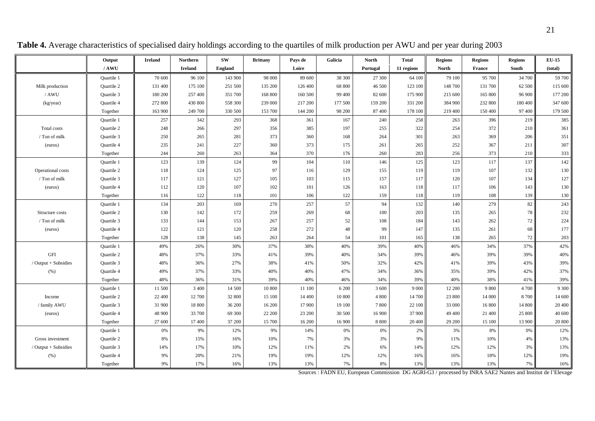|                        | Output            | <b>Ireland</b> | Northern       | <b>SW</b>      | <b>Brittany</b> | Pays de | Galicia | <b>North</b> | <b>Total</b> | <b>Regions</b> | <b>Regions</b> | <b>Regions</b> | $EU-15$ |
|------------------------|-------------------|----------------|----------------|----------------|-----------------|---------|---------|--------------|--------------|----------------|----------------|----------------|---------|
|                        | /AWU              |                | <b>Ireland</b> | <b>England</b> |                 | Loire   |         | Portugal     | 11 regions   | <b>North</b>   | <b>France</b>  | South          | (total) |
|                        | Quartile 1        | 70 600         | 96 100         | 143 900        | 98 000          | 89 600  | 38 300  | 27 300       | 64 100       | 79 100         | 95 700         | 34 700         | 59 700  |
| Milk production        | <b>Ouartile 2</b> | 131 400        | 175 100        | 251 500        | 135 200         | 126 400 | 68 800  | 46 500       | 123 100      | 148 700        | 131 700        | 62 500         | 115 600 |
| / AWU                  | Quartile 3        | 180 200        | 257 400        | 351 700        | 168 800         | 160 500 | 99 400  | 82 600       | 175 900      | 215 600        | 165 800        | 96 900         | 177 200 |
| (kg/year)              | Quartile 4        | 272 800        | 430 800        | 558 300        | 239 000         | 217 200 | 177 500 | 159 200      | 331 200      | 384 900        | 232 800        | 180 400        | 347 600 |
|                        | Together          | 163 900        | 249 700        | 330 500        | 153 700         | 144 200 | 98 200  | 87 400       | 178 100      | 219 400        | 150 400        | 97 400         | 179 500 |
|                        | <b>Ouartile 1</b> | 257            | 342            | 293            | 368             | 361     | 167     | 240          | 258          | 263            | 396            | 219            | 385     |
| Total costs            | <b>Ouartile 2</b> | 248            | 266            | 297            | 356             | 385     | 197     | 255          | 322          | 254            | 372            | 210            | 361     |
| / Ton of milk          | Quartile 3        | 250            | 265            | 281            | 373             | 360     | 168     | 264          | 301          | 263            | 369            | 206            | 351     |
| (euros)                | Quartile 4        | 235            | 241            | 227            | 360             | 373     | 175     | 261          | 265          | 252            | 367            | 211            | 307     |
|                        | Together          | 244            | 260            | 263            | 364             | 370     | 176     | 260          | 283          | 256            | 373            | 210            | 333     |
|                        | Quartile 1        | 123            | 139            | 124            | 99              | 104     | 110     | 146          | 125          | 123            | 117            | 137            | 142     |
| Operational costs      | <b>Ouartile 2</b> | 118            | 124            | 125            | 97              | 116     | 129     | 155          | 119          | 119            | 107            | 132            | 130     |
| / Ton of milk          | Quartile 3        | 117            | 121            | 127            | 105             | 103     | 115     | 157          | 117          | 120            | 107            | 134            | 127     |
| (euros)                | Quartile 4        | 112            | 120            | 107            | 102             | 101     | 126     | 163          | 118          | 117            | 106            | 143            | 130     |
|                        | Together          | 116            | 122            | 118            | 101             | 106     | 122     | 159          | 118          | 119            | 108            | 139            | 130     |
|                        | <b>Ouartile 1</b> | 134            | 203            | 169            | 270             | 257     | 57      | 94           | 132          | 140            | 279            | 82             | 243     |
| Structure costs        | <b>Ouartile 2</b> | 130            | 142            | 172            | 259             | 269     | 68      | 100          | 203          | 135            | 265            | 78             | 232     |
| / Ton of milk          | Quartile 3        | 133            | 144            | 153            | 267             | 257     | 52      | 108          | 184          | 143            | 262            | 72             | 224     |
| (euros)                | Quartile 4        | 122            | 121            | 120            | 258             | 272     | 48      | 99           | 147          | 135            | 261            | 68             | 177     |
|                        | Together          | 128            | 138            | 145            | 263             | 264     | 54      | 101          | 165          | 138            | 265            | 72             | 203     |
|                        | <b>Ouartile 1</b> | 49%            | 26%            | 30%            | 37%             | 38%     | 40%     | 39%          | 40%          | 46%            | 34%            | 37%            | 42%     |
| <b>GFI</b>             | <b>Ouartile 2</b> | 48%            | 37%            | 33%            | 41%             | 39%     | 40%     | 34%          | 39%          | 46%            | 39%            | 39%            | 40%     |
| / Output + Subsidies   | <b>Ouartile 3</b> | 48%            | 36%            | 27%            | 38%             | 41%     | 50%     | 32%          | 42%          | 41%            | 39%            | 43%            | 39%     |
| (% )                   | Quartile 4        | 49%            | 37%            | 33%            | 40%             | 40%     | 47%     | 34%          | 36%          | 35%            | 39%            | 42%            | 37%     |
|                        | Together          | 48%            | 36%            | 31%            | 39%             | 40%     | 46%     | 34%          | 39%          | 40%            | 38%            | 41%            | 39%     |
|                        | <b>Ouartile 1</b> | 11 500         | 3 4 0 0        | 14 500         | 10 800          | 11 100  | 6 200   | 3 600        | 9 0 0 0      | 12 200         | 9 800          | 4 700          | 9 300   |
| Income                 | <b>Ouartile 2</b> | 22 400         | 12 700         | 32 800         | 15 100          | 14 400  | 10 800  | 4 800        | 14 700       | 23 800         | 14 000         | 8 700          | 14 600  |
| / family AWU           | Quartile 3        | 31 900         | 18 800         | 36 200         | 16 200          | 17 900  | 19 100  | 7800         | 22 100       | 33 000         | 16 800         | 14 800         | 20 400  |
| (euros)                | Quartile 4        | 48 900         | 33 700         | 69 300         | 22 200          | 23 200  | 30 500  | 16 900       | 37 900       | 49 400         | 21 400         | 25 800         | 40 600  |
|                        | Together          | 27 600         | 17 400         | 37 200         | 15 700          | 16 200  | 16 900  | 8 8 0 0      | 20 400       | 29 200         | 15 100         | 13 900         | 20 800  |
|                        | <b>Ouartile 1</b> | 0%             | 9%             | 12%            | 9%              | 14%     | 0%      | 0%           | 2%           | 3%             | 8%             | 0%             | 12%     |
| Gross investment       | <b>Ouartile 2</b> | 8%             | 15%            | 16%            | 10%             | 7%      | 3%      | 3%           | 9%           | 11%            | 10%            | 4%             | 13%     |
| $/$ Output + Subsidies | <b>Ouartile 3</b> | 14%            | 17%            | 10%            | 12%             | 11%     | 2%      | 6%           | 14%          | 12%            | 12%            | 3%             | 13%     |
| (% )                   | Quartile 4        | 9%             | 20%            | 21%            | 19%             | 19%     | 12%     | 12%          | 16%          | 16%            | 18%            | 12%            | 19%     |
|                        | Together          | 9%             | 17%            | 16%            | 13%             | 13%     | 7%      | 8%           | 13%          | 13%            | 13%            | 7%             | 16%     |

**Table 4.** Average characteristics of specialised dairy holdings according to the quartiles of milk production per AWU and per year during 2003

Sources : FADN EU, European Commission DG AGRI-G3 / processed by INRA SAE2 Nantes and Institut de l'Elevage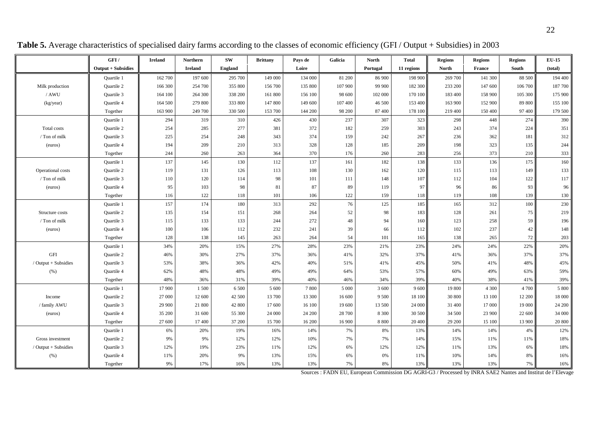|                        | GFI/               | <b>Ireland</b> | Northern       | SW             | <b>Brittany</b> | Pays de | Galicia | <b>North</b> | <b>Total</b> | <b>Regions</b> | <b>Regions</b> | <b>Regions</b> | <b>EU-15</b> |
|------------------------|--------------------|----------------|----------------|----------------|-----------------|---------|---------|--------------|--------------|----------------|----------------|----------------|--------------|
|                        | Output + Subsidies |                | <b>Ireland</b> | <b>England</b> |                 | Loire   |         | Portugal     | 11 regions   | <b>North</b>   | France         | South          | (total)      |
|                        | Quartile 1         | 162 700        | 197 600        | 295 700        | 149 000         | 134 000 | 81 200  | 86 900       | 198 900      | 269 700        | 141 300        | 88 500         | 194 400      |
| Milk production        | <b>Quartile 2</b>  | 166 300        | 254 700        | 355 800        | 156 700         | 135 800 | 107 900 | 99 900       | 182 300      | 233 200        | 147 600        | 106 700        | 187 700      |
| / AWU                  | <b>Ouartile 3</b>  | 164 100        | 264 300        | 338 200        | 161 800         | 156 100 | 98 600  | 102 000      | 170 100      | 183 400        | 158 900        | 105 300        | 175 900      |
| (kg/year)              | Quartile 4         | 164 500        | 279 800        | 333 800        | 147 800         | 149 600 | 107 400 | 46 500       | 153 400      | 163 900        | 152 900        | 89 800         | 155 100      |
|                        | Together           | 163 900        | 249 700        | 330 500        | 153 700         | 144 200 | 98 200  | 87 400       | 178 100      | 219 400        | 150 400        | 97 400         | 179 500      |
|                        | Quartile 1         | 294            | 319            | 310            | 426             | 430     | 237     | 307          | 323          | 298            | 448            | 274            | 390          |
| Total costs            | Quartile 2         | 254            | 285            | 277            | 381             | 372     | 182     | 259          | 303          | 243            | 374            | 224            | 351          |
| / Ton of milk          | <b>Ouartile 3</b>  | 225            | 254            | 248            | 343             | 374     | 159     | 242          | 267          | 236            | 362            | 181            | 312          |
| (euros)                | Quartile 4         | 194            | 209            | 210            | 313             | 328     | 128     | 185          | 209          | 198            | 323            | 135            | 244          |
|                        | Together           | 244            | 260            | 263            | 364             | 370     | 176     | 260          | 283          | 256            | 373            | 210            | 333          |
|                        | <b>Ouartile 1</b>  | 137            | 145            | 130            | 112             | 137     | 161     | 182          | 138          | 133            | 136            | 175            | 160          |
| Operational costs      | Quartile 2         | 119            | 131            | 126            | 113             | 108     | 130     | 162          | 120          | 115            | 113            | 149            | 133          |
| / Ton of milk          | Quartile 3         | 110            | 120            | 114            | 98              | 101     | 111     | 148          | 107          | 112            | 104            | 122            | 117          |
| (euros)                | Quartile 4         | 95             | 103            | 98             | 81              | 87      | 89      | 119          | 97           | 96             | 86             | 93             | 96           |
|                        | Together           | 116            | 122            | 118            | 101             | 106     | 122     | 159          | 118          | 119            | 108            | 139            | 130          |
|                        | Quartile 1         | 157            | 174            | 180            | 313             | 292     | 76      | 125          | 185          | 165            | 312            | 100            | 230          |
| Structure costs        | <b>Ouartile 2</b>  | 135            | 154            | 151            | 268             | 264     | 52      | 98           | 183          | 128            | 261            | 75             | 219          |
| / Ton of milk          | <b>Ouartile 3</b>  | 115            | 133            | 133            | 244             | 272     | 48      | 94           | 160          | 123            | 258            | 59             | 196          |
| (euros)                | Quartile 4         | 100            | 106            | 112            | 232             | 241     | 39      | 66           | 112          | 102            | 237            | 42             | 148          |
|                        | Together           | 128            | 138            | 145            | 263             | 264     | 54      | 101          | 165          | 138            | 265            | 72             | 203          |
|                        | <b>Ouartile 1</b>  | 34%            | 20%            | 15%            | 27%             | 28%     | 23%     | 21%          | 23%          | 24%            | 24%            | 22%            | 20%          |
| $\operatorname{GFI}$   | Quartile 2         | 46%            | 30%            | 27%            | 37%             | 36%     | 41%     | 32%          | 37%          | 41%            | 36%            | 37%            | 37%          |
| / Output $+$ Subsidies | <b>Ouartile 3</b>  | 53%            | 38%            | 36%            | 42%             | 40%     | 51%     | 41%          | 45%          | 50%            | 41%            | 48%            | 45%          |
| (% )                   | Quartile 4         | 62%            | 48%            | 48%            | 49%             | 49%     | 64%     | 53%          | 57%          | 60%            | 49%            | 63%            | 59%          |
|                        | Together           | 48%            | 36%            | 31%            | 39%             | 40%     | 46%     | 34%          | 39%          | 40%            | 38%            | 41%            | 39%          |
|                        | Quartile 1         | 17 900         | 1500           | 6 500          | 5 600           | 7800    | 5 000   | 3 600        | 9600         | 19 800         | 4 3 0 0        | 4 700          | 5 800        |
| Income                 | <b>Ouartile 2</b>  | 27 000         | 12 600         | 42 500         | 13 700          | 13 300  | 16 600  | 9 5 0 0      | 18 100       | 30 800         | 13 100         | 12 200         | 18 000       |
| / family AWU           | Quartile 3         | 29 900         | 21 800         | 42 800         | 17 600          | 16 100  | 19 600  | 13 500       | 24 000       | 31 400         | 17 000         | 19 000         | 24 200       |
| (euros)                | Quartile 4         | 35 200         | 31 600         | 55 300         | 24 000          | 24 200  | 28 700  | 8 3 0 0      | 30 500       | 34 500         | 23 900         | 22 600         | 34 000       |
|                        | Together           | 27 600         | 17 400         | 37 200         | 15 700          | 16 200  | 16 900  | 8 8 0 0      | 20 400       | 29 200         | 15 100         | 13 900         | 20 800       |
|                        | <b>Ouartile 1</b>  | 6%             | 20%            | 19%            | 16%             | 14%     | 7%      | 8%           | 13%          | 14%            | 14%            | 4%             | 12%          |
| Gross investment       | Quartile 2         | 9%             | 9%             | 12%            | 12%             | 10%     | 7%      | 7%           | 14%          | 15%            | 11%            | 11%            | 18%          |
| / Output + Subsidies   | <b>Ouartile 3</b>  | 12%            | 19%            | 23%            | 11%             | 12%     | 6%      | 12%          | 12%          | 11%            | 13%            | 6%             | 18%          |
| (% )                   | Quartile 4         | 11%            | 20%            | 9%             | 13%             | 15%     | 6%      | 0%           | 11%          | 10%            | 14%            | 8%             | 16%          |
|                        | Together           | 9%             | 17%            | 16%            | 13%             | 13%     | 7%      | 8%           | 13%          | 13%            | 13%            | 7%             | 16%          |

**Table 5.** Average characteristics of specialised dairy farms according to the classes of economic efficiency (GFI / Output + Subsidies) in 2003

Sources : FADN EU, European Commission DG AGRI-G3 / Processed by INRA SAE2 Nantes and Institut de l'Elevage